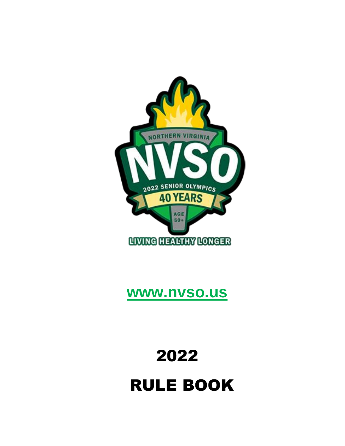# 2022 RULE BOOK



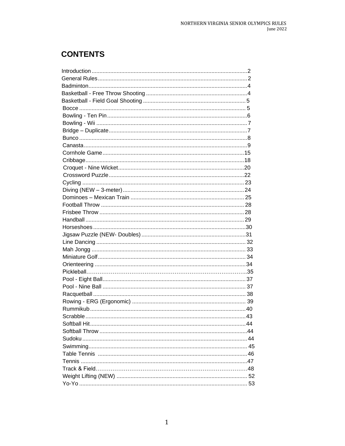# **CONTENTS**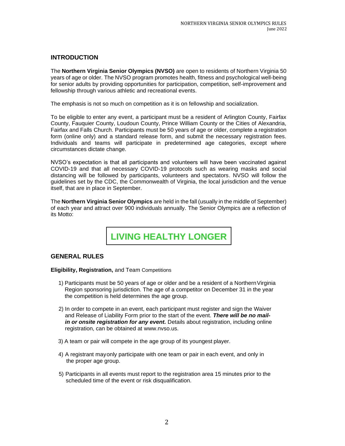# <span id="page-2-0"></span>**INTRODUCTION**

The **Northern Virginia Senior Olympics (NVSO)** are open to residents of Northern Virginia 50 years of age or older. The NVSO program promotes health, fitness and psychological well-being for senior adults by providing opportunities for participation, competition, self-improvement and fellowship through various athletic and recreational events.

The emphasis is not so much on competition as it is on fellowship and socialization.

To be eligible to enter any event, a participant must be a resident of Arlington County, Fairfax County, Fauquier County, Loudoun County, Prince William County or the Cities of Alexandria, Fairfax and Falls Church. Participants must be 50 years of age or older, complete a registration form (online only) and a standard release form, and submit the necessary registration fees. Individuals and teams will participate in predetermined age categories, except where circumstances dictate change.

NVSO's expectation is that all participants and volunteers will have been vaccinated against COVID-19 and that all necessary COVID-19 protocols such as wearing masks and social distancing will be followed by participants, volunteers and spectators. NVSO will follow the guidelines set by the CDC, the Commonwealth of Virginia, the local jurisdiction and the venue itself, that are in place in September.

The **Northern Virginia Senior Olympics** are held in the fall (usually in the middle of September) of each year and attract over 900 individuals annually. The Senior Olympics are a reflection of its Motto:

**LIVING HEALTHY LONGER**

# <span id="page-2-1"></span>**GENERAL RULES**

**Eligibility, Registration,** and Team Competitions

- 1) Participants must be 50 years of age or older and be a resident of a NorthernVirginia Region sponsoring jurisdiction. The age of a competitor on December 31 in the year the competition is held determines the age group.
- 2) In order to compete in an event, each participant must register and sign the Waiver and Release of Liability Form prior to the start of the event. *There will be no mailin* or onsite registration for any event. Details about registration, including online registration, can be obtained at [www.nvso.us.](http://www.nvso.us/)
- 3) A team or pair will compete in the age group of its youngest player.
- 4) A registrant mayonly participate with one team or pair in each event, and only in the proper age group.
- 5) Participants in all events must report to the registration area 15 minutes prior to the scheduled time of the event or risk disqualification.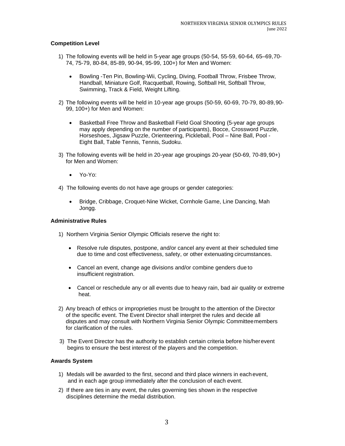# **Competition Level**

- 1) The following events will be held in 5-year age groups (50-54, 55-59, 60-64, 65–69,70- 74, 75-79, 80-84, 85-89, 90-94, 95-99, 100+) for Men and Women:
	- Bowling -Ten Pin, Bowling-Wii, Cycling, Diving, Football Throw, Frisbee Throw, Handball, Miniature Golf, Racquetball, Rowing, Softball Hit, Softball Throw, Swimming, Track & Field, Weight Lifting.
- 2) The following events will be held in 10-year age groups (50-59, 60-69, 70-79, 80-89,90- 99, 100+) for Men and Women:
	- Basketball Free Throw and Basketball Field Goal Shooting (5-year age groups may apply depending on the number of participants), Bocce, Crossword Puzzle, Horseshoes, Jigsaw Puzzle, Orienteering, Pickleball, Pool – Nine Ball, Pool - Eight Ball, Table Tennis, Tennis, Sudoku.
- 3) The following events will be held in 20-year age groupings 20-year (50-69, 70-89,90+) for Men and Women:
	- Yo-Yo:
- 4) The following events do not have age groups or gender categories:
	- Bridge, Cribbage, Croquet-Nine Wicket, Cornhole Game, Line Dancing, Mah Jongg.

# **Administrative Rules**

- 1) Northern Virginia Senior Olympic Officials reserve the right to:
	- Resolve rule disputes, postpone, and/or cancel any event at their scheduled time due to time and cost effectiveness, safety, or other extenuating circumstances.
	- Cancel an event, change age divisions and/or combine genders due to insufficient registration.
	- Cancel or reschedule any or all events due to heavy rain, bad air quality or extreme heat.
- 2) Any breach of ethics or improprieties must be brought to the attention of the Director of the specific event. The Event Director shall interpret the rules and decide all disputes and may consult with Northern Virginia Senior Olympic Committeemembers for clarification of the rules.
- 3) The Event Director has the authority to establish certain criteria before his/herevent begins to ensure the best interest of the players and the competition.

# **Awards System**

- 1) Medals will be awarded to the first, second and third place winners in eachevent, and in each age group immediately after the conclusion of each event.
- 2) If there are ties in any event, the rules governing ties shown in the respective disciplines determine the medal distribution.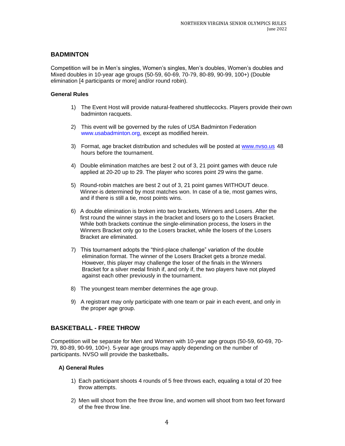# **BADMINTON**

Competition will be in Men's singles, Women's singles, Men's doubles, Women's doubles and Mixed doubles in 10-year age groups (50-59, 60-69, 70-79, 80-89, 90-99, 100+) (Double elimination [4 participants or more] and/or round robin).

# **General Rules**

- 1) The Event Host will provide natural-feathered shuttlecocks. Players provide theirown badminton racquets.
- 2) This event will be governed by the rules of USA Badminton Federatio[n](http://www.usabadminton.org/) [www.usabadminton.org, e](http://www.usabadminton.org/)xcept as modified herein.
- 3) Format, age bracket distribution and schedules will be posted at [www.nvso.us](http://www.nvso.us/) 48 hours before the tournament.
- 4) Double elimination matches are best 2 out of 3, 21 point games with deuce rule applied at 20-20 up to 29. The player who scores point 29 wins the game.
- 5) Round-robin matches are best 2 out of 3, 21 point games WITHOUT deuce. Winner-is determined by most matches won. In case of a tie, most games wins, and if there is still a tie, most points wins.
- 6) A double elimination is broken into two brackets, Winners and Losers. After the first round the winner stays in the bracket and losers go to the Losers Bracket. While both brackets continue the single-elimination process, the losers in the Winners Bracket only go to the Losers bracket, while the losers of the Losers Bracket are eliminated.
- 7) This tournament adopts the "third-place challenge" variation of the double elimination format. The winner of the Losers Bracket gets a bronze medal. However, this player may challenge the loser of the finals in the Winners Bracket for a silver medal finish if, and only if, the two players have not played against each other previously in the tournament.
- 8) The youngest team member determines the age group.
- 9) A registrant may only participate with one team or pair in each event, and only in the proper age group.

# **BASKETBALL - FREE THROW**

Competition will be separate for Men and Women with 10-year age groups (50-59, 60-69, 70- 79, 80-89, 90-99, 100+). 5-year age groups may apply depending on the number of participants. NVSO will provide the basketballs**.**

- 1) Each participant shoots 4 rounds of 5 free throws each, equaling a total of 20 free throw attempts.
- 2) Men will shoot from the free throw line, and women will shoot from two feet forward of the free throw line.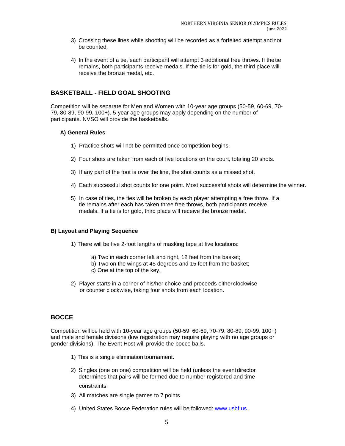- 3) Crossing these lines while shooting will be recorded as a forfeited attempt andnot be counted.
- 4) In the event of a tie, each participant will attempt 3 additional free throws. If thetie remains, both participants receive medals. If the tie is for gold, the third place will receive the bronze medal, etc.

# <span id="page-5-0"></span>**BASKETBALL - FIELD GOAL SHOOTING**

Competition will be separate for Men and Women with 10-year age groups (50-59, 60-69, 70- 79, 80-89, 90-99, 100+). 5-year age groups may apply depending on the number of participants. NVSO will provide the basketballs.

# **A) General Rules**

- 1) Practice shots will not be permitted once competition begins.
- 2) Four shots are taken from each of five locations on the court, totaling 20 shots.
- 3) If any part of the foot is over the line, the shot counts as a missed shot.
- 4) Each successful shot counts for one point. Most successful shots will determine the winner.
- 5) In case of ties, the ties will be broken by each player attempting a free throw. If a tie remains after each has taken three free throws, both participants receive medals. If a tie is for gold, third place will receive the bronze medal.

# **B) Layout and Playing Sequence**

- 1) There will be five 2-foot lengths of masking tape at five locations:
	- a) Two in each corner left and right, 12 feet from the basket;
	- b) Two on the wings at 45 degrees and 15 feet from the basket;
	- c) One at the top of the key.
- 2) Player starts in a corner of his/her choice and proceeds either clockwise or counter clockwise, taking four shots from each location.

# <span id="page-5-1"></span>**BOCCE**

Competition will be held with 10-year age groups (50-59, 60-69, 70-79, 80-89, 90-99, 100+) and male and female divisions (low registration may require playing with no age groups or gender divisions). The Event Host will provide the bocce balls.

- 1) This is a single elimination tournament.
- 2) Singles (one on one) competition will be held (unless the eventdirector determines that pairs will be formed due to number registered and time constraints.
- 3) All matches are single games to 7 points.
- 4) United States Bocce Federation rules will be followed: [www.usbf.us.](http://www.usbf.us/)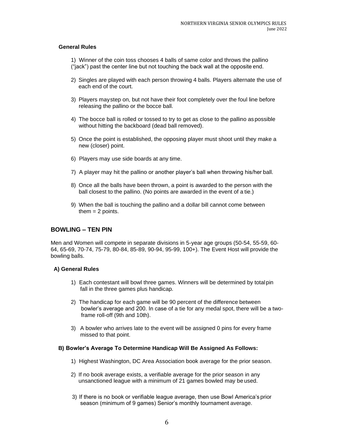# **General Rules**

1) Winner of the coin toss chooses 4 balls of same color and throws the pallino ("jack") past the center line but not touching the back wall at the opposite end.

- 2) Singles are played with each person throwing 4 balls. Players alternate the use of each end of the court.
- 3) Players maystep on, but not have their foot completely over the foul line before releasing the pallino or the bocce ball.
- 4) The bocce ball is rolled or tossed to try to get as close to the pallino as possible without hitting the backboard (dead ball removed).
- 5) Once the point is established, the opposing player must shoot until they make a new (closer) point.
- 6) Players may use side boards at any time.
- 7) A player may hit the pallino or another player's ball when throwing his/her ball.
- 8) Once all the balls have been thrown, a point is awarded to the person with the ball closest to the pallino. (No points are awarded in the event of a tie.)
- 9) When the ball is touching the pallino and a dollar bill cannot come between them  $= 2$  points.

# <span id="page-6-0"></span>**BOWLING – TEN PIN**

Men and Women will compete in separate divisions in 5-year age groups (50-54, 55-59, 60- 64, 65-69, 70-74, 75-79, 80-84, 85-89, 90-94, 95-99, 100+). The Event Host will provide the bowling balls.

# **A) General Rules**

- 1) Each contestant will bowl three games. Winners will be determined by totalpin fall in the three games plus handicap.
- 2) The handicap for each game will be 90 percent of the difference between bowler's average and 200. In case of a tie for any medal spot, there will be a twoframe roll-off (9th and 10th).
- 3) A bowler who arrives late to the event will be assigned 0 pins for every frame missed to that point.

# **B) Bowler's Average To Determine Handicap Will Be Assigned As Follows:**

- 1) Highest Washington, DC Area Association book average for the prior season.
- 2) If no book average exists, a verifiable average for the prior season in any unsanctioned league with a minimum of 21 games bowled may be used.
- 3) If there is no book or verifiable league average, then use Bowl America's prior season (minimum of 9 games) Senior's monthly tournament average.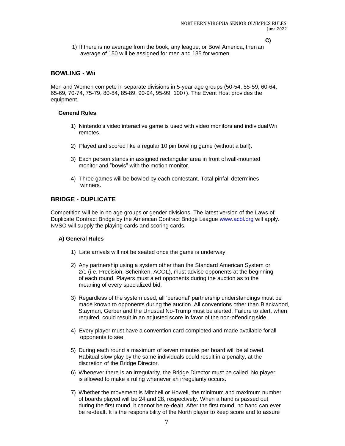**C)**

1) If there is no average from the book, any league, or Bowl America, then an average of 150 will be assigned for men and 135 for women.

# **BOWLING - Wii**

Men and Women compete in separate divisions in 5-year age groups (50-54, 55-59, 60-64, 65-69, 70-74, 75-79, 80-84, 85-89, 90-94, 95-99, 100+). The Event Host provides the equipment.

#### **General Rules**

- 1) Nintendo's video interactive game is used with video monitors and individualWii remotes.
- 2) Played and scored like a regular 10 pin bowling game (without a ball).
- 3) Each person stands in assigned rectangular area in front ofwall-mounted monitor and "bowls" with the motion monitor.
- 4) Three games will be bowled by each contestant. Total pinfall determines winners.

# **BRIDGE - DUPLICATE**

Competition will be in no age groups or gender divisions. The latest version of the Laws of Duplicate Contract Bridge by the American Contract Bridge League [www.acbl.org w](http://www.acbl.org/)ill apply. NVSO will supply the playing cards and scoring cards.

- 1) Late arrivals will not be seated once the game is underway.
- 2) Any partnership using a system other than the Standard American System or 2/1 (i.e. Precision, Schenken, ACOL), must advise opponents at the beginning of each round. Players must alert opponents during the auction as to the meaning of every specialized bid.
- 3) Regardless of the system used, all 'personal' partnership understandings must be made known to opponents during the auction. All conventions other than Blackwood, Stayman, Gerber and the Unusual No-Trump must be alerted. Failure to alert, when required, could result in an adjusted score in favor of the non-offending side.
- 4) Every player must have a convention card completed and made available for all opponents to see.
- 5) During each round a maximum of seven minutes per board will be allowed. Habitual slow play by the same individuals could result in a penalty, at the discretion of the Bridge Director.
- 6) Whenever there is an irregularity, the Bridge Director must be called. No player is allowed to make a ruling whenever an irregularity occurs.
- 7) Whether the movement is Mitchell or Howell, the minimum and maximum number of boards played will be 24 and 28, respectively. When a hand is passed out during the first round, it cannot be re-dealt. After the first round, no hand can ever be re-dealt. It is the responsibility of the North player to keep score and to assure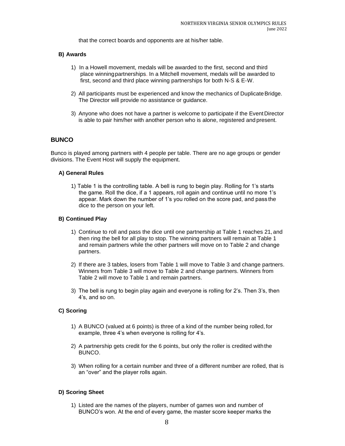that the correct boards and opponents are at his/her table.

#### **B) Awards**

- 1) In a Howell movement, medals will be awarded to the first, second and third place winningpartnerships. In a Mitchell movement, medals will be awarded to first, second and third place winning partnerships for both N-S & E-W.
- 2) All participants must be experienced and know the mechanics of DuplicateBridge. The Director will provide no assistance or guidance.
- 3) Anyone who does not have a partner is welcome to participate if the EventDirector is able to pair him/her with another person who is alone, registered and present.

# **BUNCO**

Bunco is played among partners with 4 people per table. There are no age groups or gender divisions. The Event Host will supply the equipment.

#### **A) General Rules**

1) Table 1 is the controlling table. A bell is rung to begin play. Rolling for 1's starts the game. Roll the dice, if a 1 appears, roll again and continue until no more 1's appear. Mark down the number of 1's you rolled on the score pad, and pass the dice to the person on your left.

#### **B) Continued Play**

- 1) Continue to roll and pass the dice until one partnership at Table 1 reaches 21, and then ring the bell for all play to stop. The winning partners will remain at Table 1 and remain partners while the other partners will move on to Table 2 and change partners.
- 2) If there are 3 tables, losers from Table 1 will move to Table 3 and change partners. Winners from Table 3 will move to Table 2 and change partners. Winners from Table 2 will move to Table 1 and remain partners.
- 3) The bell is rung to begin play again and everyone is rolling for 2's. Then 3's, then 4's, and so on.

# **C) Scoring**

- 1) A BUNCO (valued at 6 points) is three of a kind of the number being rolled, for example, three 4's when everyone is rolling for 4's.
- 2) A partnership gets credit for the 6 points, but only the roller is credited withthe BUNCO.
- 3) When rolling for a certain number and three of a different number are rolled, that is an "over" and the player rolls again.

# **D) Scoring Sheet**

1) Listed are the names of the players, number of games won and number of BUNCO's won. At the end of every game, the master score keeper marks the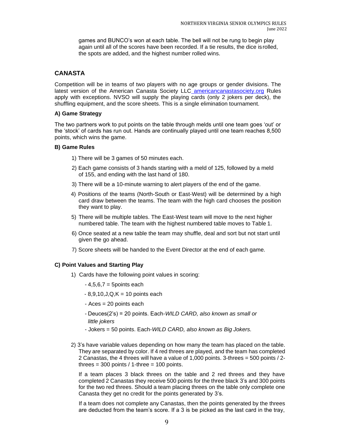games and BUNCO's won at each table. The bell will not be rung to begin play again until all of the scores have been recorded. If a tie results, the dice isrolled, the spots are added, and the highest number rolled wins.

# **CANASTA**

Competition will be in teams of two players with no age groups or gender divisions. The latest version of the American Canasta Society LLC [americancanastasociety.org](http://www.americancanastasociety.org/) Rules apply with exceptions. NVSO will supply the playing cards (only 2 jokers per deck), the shuffling equipment, and the score sheets. This is a single elimination tournament.

# **A) Game Strategy**

The two partners work to put points on the table through melds until one team goes 'out' or the 'stock' of cards has run out. Hands are continually played until one team reaches 8,500 points, which wins the game.

# **B) Game Rules**

- 1) There will be 3 games of 50 minutes each.
- 2) Each game consists of 3 hands starting with a meld of 125, followed by a meld of 155, and ending with the last hand of 180.
- 3) There will be a 10-minute warning to alert players of the end of the game.
- 4) Positions of the teams (North-South or East-West) will be determined by a high card draw between the teams. The team with the high card chooses the position they want to play.
- 5) There will be multiple tables. The East-West team will move to the next higher numbered table. The team with the highest numbered table moves to Table 1.
- 6) Once seated at a new table the team may shuffle, deal and sort but not start until given the go ahead.
- 7) Score sheets will be handed to the Event Director at the end of each game.

# **C) Point Values and Starting Play**

- 1) Cards have the following point values in scoring:
	- $-4,5,6,7 = 5$ points each
	- $-8,9,10,J,Q,K = 10$  points each
	- Aces = 20 points each
	- Deuces(2's) = 20 points. Each-*WILD CARD, also known as small or little jokers*
	- Jokers = 50 points. Each-*WILD CARD, also known as Big Jokers.*
- 2) 3's have variable values depending on how many the team has placed on the table. They are separated by color. If 4 red threes are played, and the team has completed 2 Canastas, the 4 threes will have a value of 1,000 points. 3-threes = 500 points / 2 threes =  $300$  points / 1-three =  $100$  points.

If a team places 3 black threes on the table and 2 red threes and they have completed 2 Canastas they receive 500 points for the three black 3's and 300 points for the two red threes. Should a team placing threes on the table only complete one Canasta they get no credit for the points generated by 3's.

If a team does not complete any Canastas, then the points generated by the threes are deducted from the team's score. If a 3 is be picked as the last card in the tray,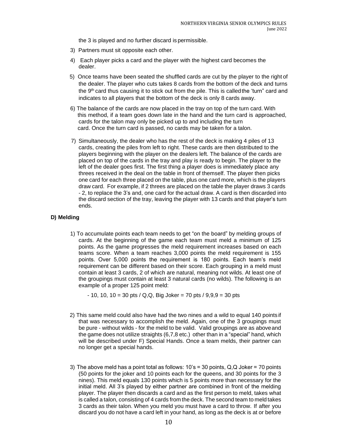the 3 is played and no further discard is permissible.

- 3) Partners must sit opposite each other.
- 4) Each player picks a card and the player with the highest card becomes the dealer.
- 5) Once teams have been seated the shuffled cards are cut by the player to the right of the dealer. The player who cuts takes 8 cards from the bottom of the deck and turns the 9th card thus causing it to stick out from the pile. This is calledthe 'turn" card and indicates to all players that the bottom of the deck is only 8 cards away.
- 6) The balance of the cards are now placed in the tray on top of the turn card. With this method, if a team goes down late in the hand and the turn card is approached, cards for the talon may only be picked up to and including the turn card. Once the turn card is passed, no cards may be taken for a talon.
- 7) Simultaneously, the dealer who has the rest of the deck is making 4 piles of 13 cards, creating the piles from left to right. These cards are then distributed to the players beginning with the player on the dealers left. The balance of the cards are placed on top of the cards in the tray and play is ready to begin. The player to the left of the dealer goes first. The first thing a player does is immediately place any threes received in the deal on the table in front of themself. The player then picks one card for each three placed on the table, plus one card more, which is the players draw card. For example, if 2 threes are placed on the table the player draws 3 cards - 2, to replace the 3's and, one card for the actual draw. A card is then discarded into the discard section of the tray, leaving the player with 13 cards and that player's turn ends.

# **D) Melding**

1) To accumulate points each team needs to get "on the board" by melding groups of cards. At the beginning of the game each team must meld a minimum of 125 points. As the game progresses the meld requirement increases based on each teams score. When a team reaches 3,000 points the meld requirement is 155 points. Over 5,000 points the requirement is 180 points. Each team's meld requirement can be different based on their score. Each grouping in a meld must contain at least 3 cards, 2 of which are natural, meaning not wilds. At least one of the groupings must contain at least 3 natural cards (no wilds). The following is an example of a proper 125 point meld:

 $-10$ , 10, 10 = 30 pts / Q,Q, Big Joker = 70 pts / 9,9,9 = 30 pts

- 2) This same meld could also have had the two nines and a wild to equal 140 points if that was necessary to accomplish the meld. Again, one of the 3 groupings must be pure - without wilds - for the meld to be valid. Valid groupings are as aboveand the game does not utilize straights (6,7,8 etc.) other than in a "special" hand, which will be described under F) Special Hands. Once a team melds, their partner can no longer get a special hands.
- 3) The above meld has a point total as follows: 10's = 30 points, Q,Q Joker = 70 points (50 points for the joker and 10 points each for the queens, and 30 points for the 3 nines). This meld equals 130 points which is 5 points more than necessary for the initial meld. All 3's played by either partner are combined in front of the melding player. The player then discards a card and as the first person to meld, takes what is called a talon, consisting of 4 cards from the deck. The second team to meld takes 3 cards as their talon. When you meld you must have a card to throw. If after you discard you do not have a card left in your hand, as long as the deck is at or before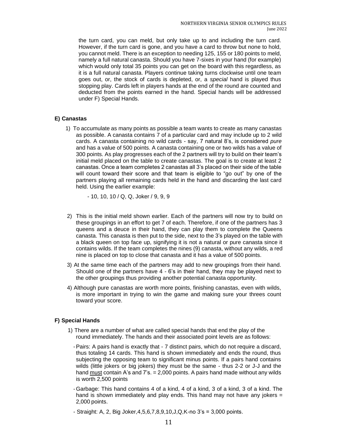the turn card, you can meld, but only take up to and including the turn card. However, if the turn card is gone, and you have a card to throw but none to hold, you cannot meld. There is an exception to needing 125, 155 or 180 points to meld, namely a full natural canasta. Should you have 7-sixes in your hand (for example) which would only total 35 points you can get on the board with this regardless, as it is a full natural canasta. Players continue taking turns clockwise until one team goes out, or, the stock of cards is depleted, or, a *special* hand is played thus stopping play. Cards left in players hands at the end of the round are counted and deducted from the points earned in the hand. Special hands will be addressed under F) Special Hands.

# **E) Canastas**

1) To accumulate as many points as possible a team wants to create as many canastas as possible. A canasta contains 7 of a particular card and may include up to 2 wild cards. A canasta containing no wild cards - say, 7 natural 8's, is considered *pure*  and has a value of 500 points. A canasta containing one or two wilds has a value of 300 points. As play progresses each of the 2 partners will try to build on their team's initial meld placed on the table to create canastas. The goal is to create at least 2 canastas. Once a team completes 2 canastas all 3's placed on their side of the table will count toward their score and that team is eligible to "go out" by one of the partners playing all remaining cards held in the hand and discarding the last card held. Using the earlier example:

- 10, 10, 10 / Q, Q, Joker / 9, 9, 9

- 2) This is the initial meld shown earlier. Each of the partners will now try to build on these groupings in an effort to get 7 of each. Therefore, if one of the partners has 3 queens and a deuce in their hand, they can play them to complete the Queens canasta. This canasta is then put to the side, next to the 3's played on the table with a black queen on top face up, signifying it is not a natural or pure canasta since it contains wilds. If the team completes the nines (9) canasta, without any wilds, a red nine is placed on top to close that canasta and it has a value of 500 points.
- 3) At the same time each of the partners may add to new groupings from their hand. Should one of the partners have 4 - 6's in their hand, they may be played next to the other groupings thus providing another potential canasta opportunity.
- 4) Although pure canastas are worth more points, finishing canastas, even with wilds, is more important in trying to win the game and making sure your threes count toward your score.

# **F) Special Hands**

- 1) There are a number of what are called special hands that end the play of the round immediately. The hands and their associated point levels are as follows:
	- -Pairs: A pairs hand is exactly that 7 distinct pairs, which do not require a discard, thus totaling 14 cards. This hand is shown immediately and ends the round, thus subjecting the opposing team to significant minus points. If a pairs hand contains wilds (little jokers or big jokers) they must be the same - thus 2-2 or J-J and the hand must contain A's and  $7's. = 2,000$  points. A pairs hand made without any wilds is worth 2,500 points
	- Garbage: This hand contains 4 of a kind, 4 of a kind, 3 of a kind, 3 of a kind. The hand is shown immediately and play ends. This hand may not have any jokers = 2,000 points.
	- Straight: A, 2, Big Joker,4,5,6,7,8,9,10,J,Q,K-no 3's = 3,000 points.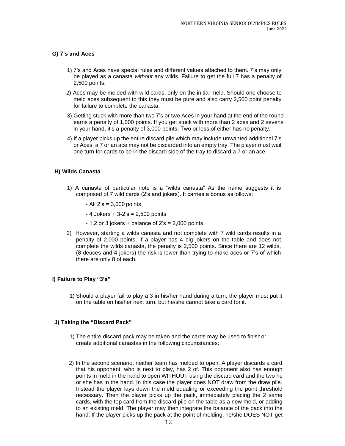# **G) 7's and Aces**

- 1) 7's and Aces have special rules and different values attached to them. 7's may only be played as a canasta *without* any wilds. Failure to get the full 7 has a penalty of 2,500 points.
- 2) Aces may be melded with wild cards, only on the initial meld. Should one choose to meld aces subsequent to this they must be pure and also carry 2,500 point penalty for failure to complete the canasta.
- 3) Getting stuck with more than two 7's or two Aces in your hand at the end of the round earns a penalty of 1,500 points. If you get stuck with more than 2 aces and 2 sevens in your hand, it's a penalty of 3,000 points. Two or less of either has no penalty.
- 4) If a player picks up the entire discard pile which may include unwanted additional 7's or Aces, a 7 or an ace may not be discarded into an empty tray. The player must wait one turn for cards to be in the discard side of the tray to discard a 7 or an ace.

# **H) Wilds Canasta**

1) A canasta of particular note is a "wilds canasta" As the name suggests it is comprised of 7 wild cards (2's and jokers). It carries a bonus as follows:

- All 2's = 3,000 points

- $-4$  Jokers  $+3-2$ 's  $= 2,500$  points
- $-1.2$  or 3 jokers  $+$  balance of 2's = 2,000 points.
- 2) However, starting a wilds canasta and not complete with 7 wild cards results in a penalty of 2,000 points. If a player has 4 big jokers on the table and does not complete the wilds canasta, the penalty is 2,500 points. Since there are 12 wilds, (8 deuces and 4 jokers) the risk is lower than trying to make aces or 7's of which there are only 8 of each.

# **I) Failure to Play "3's"**

1) Should a player fail to play a 3 in his/her hand during a turn, the player must put it on the table on his/her next turn, but he/she cannot take a card for it.

# **J) Taking the "Discard Pack"**

- 1) The entire discard pack may be taken and the cards may be used to finishor create additional canastas in the following circumstances:
- 2) In the second scenario, neither team has melded to open. A player discards a card that his opponent, who is next to play, has 2 of. This opponent also has enough points in meld in the hand to open WITHOUT using the discard card and the two he or she has in the hand. In this case the player does NOT draw from the draw pile. Instead the player lays down the meld equaling or exceeding the point threshold necessary. Then the player picks up the pack, immediately placing the 2 same cards, with the top card from the discard pile on the table as a new meld, or adding to an existing meld. The player may then integrate the balance of the pack into the hand. If the player picks up the pack at the point of melding, he/she DOES NOT get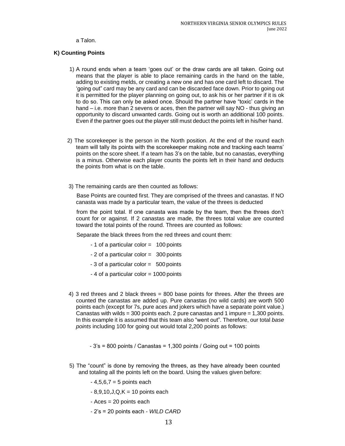#### a Talon.

# **K) Counting Points**

- 1) A round ends when a team 'goes out' or the draw cards are all taken. Going out means that the player is able to place remaining cards in the hand on the table, adding to existing melds, or creating a new one and has one card left to discard. The 'going out" card may be any card and can be discarded face down. Prior to going out it is permitted for the player planning on going out, to ask his or her partner if it is ok to do so. This can only be asked once. Should the partner have "toxic' cards in the hand – i.e. more than 2 sevens or aces, then the partner will say NO - thus giving an opportunity to discard unwanted cards. Going out is worth an additional 100 points. Even if the partner goes out the player still must deduct the points left in his/her hand.
- 2) The scorekeeper is the person in the North position. At the end of the round each team will tally its points with the scorekeeper making note and tracking each teams' points on the score sheet. If a team has 3's on the table, but no canastas, everything is a minus. Otherwise each player counts the points left in their hand and deducts the points from what is on the table.
- 3) The remaining cards are then counted as follows:

Base Points are counted first. They are comprised of the threes and canastas. If NO canasta was made by a particular team, the value of the threes is deducted

from the point total. If one canasta was made by the team, then the threes don't count for or against. If 2 canastas are made, the threes total value are counted toward the total points of the round. Threes are counted as follows:

Separate the black threes from the red threes and count them:

- 1 of a particular color = 100 points
- 2 of a particular color = 300 points
- 3 of a particular color = 500 points
- 4 of a particular color = 1000 points
- 4) 3 red threes and 2 black threes = 800 base points for threes. After the threes are counted the canastas are added up. Pure canastas (no wild cards) are worth 500 points each (except for 7s, pure aces and jokers which have a separate point value.) Canastas with wilds  $=$  300 points each. 2 pure canastas and 1 impure  $=$  1,300 points. In this example it is assumed that this team also "went out". Therefore, our total *base points* including 100 for going out would total 2,200 points as follows:
	- $-3$ 's = 800 points / Canastas = 1,300 points / Going out = 100 points
- 5) The "count" is done by removing the threes, as they have already been counted and totaling all the points left on the board. Using the values given before:
	- $-4,5,6,7 = 5$  points each
	- $-8,9,10,J,Q,K = 10$  points each
	- Aces = 20 points each
	- 2's = 20 points each *WILD CARD*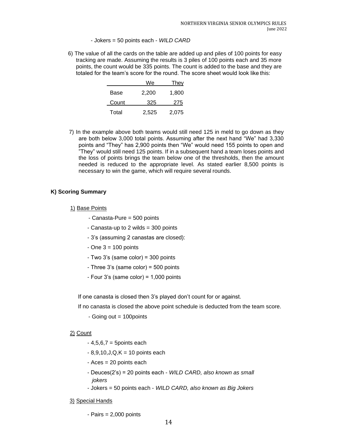- Jokers = 50 points each - *WILD CARD*

6) The value of all the cards on the table are added up and piles of 100 points for easy tracking are made. Assuming the results is 3 piles of 100 points each and 35 more points, the count would be 335 points. The count is added to the base and they are totaled for the team's score for the round. The score sheet would look like this:

|       | We    | <u>They</u> |
|-------|-------|-------------|
| Base  | 2,200 | 1,800       |
| Count | 325   | 275         |
| Total | 2.525 | 2,075       |

7) In the example above both teams would still need 125 in meld to go down as they are both below 3,000 total points. Assuming after the next hand "We" had 3,330 points and "They" has 2,900 points then "We" would need 155 points to open and "They" would still need 125 points. If in a subsequent hand a team loses points and the loss of points brings the team below one of the thresholds, then the amount needed is reduced to the appropriate level. As stated earlier 8,500 points is necessary to win the game, which will require several rounds.

# **K) Scoring Summary**

- 1) Base Points
	- Canasta-Pure = 500 points
	- Canasta-up to 2 wilds = 300 points
	- 3's (assuming 2 canastas are closed):
	- $-$  One  $3 = 100$  points
	- Two 3's (same color) = 300 points
	- Three 3's (same color) = 500 points
	- Four 3's (same color) = 1,000 points

If one canasta is closed then 3's played don't count for or against.

If no canasta is closed the above point schedule is deducted from the team score.

- Going out = 100points

#### 2) Count

- $-4,5,6,7 = 5$ points each
- $8,9,10,J,Q,K = 10$  points each
- Aces = 20 points each
- Deuces(2's) = 20 points each *WILD CARD, also known as small jokers*
- Jokers = 50 points each *WILD CARD, also known as Big Jokers*

#### 3) Special Hands

- Pairs = 2,000 points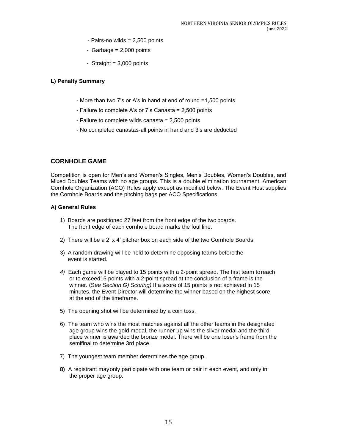- Pairs-no wilds = 2,500 points
- Garbage  $= 2,000$  points
- Straight  $= 3,000$  points

# **L) Penalty Summary**

- More than two 7's or A's in hand at end of round =1,500 points
- Failure to complete A's or 7's Canasta = 2,500 points
- Failure to complete wilds canasta = 2,500 points
- No completed canastas-all points in hand and 3's are deducted

# <span id="page-15-0"></span>**CORNHOLE GAME**

Competition is open for Men's and Women's Singles, Men's Doubles, Women's Doubles, and Mixed Doubles Teams with no age groups. This is a double elimination tournament. American Cornhole Organization (ACO) Rules apply except as modified below. The Event Host supplies the Cornhole Boards and the pitching bags per ACO Specifications.

- 1) Boards are positioned 27 feet from the front edge of the two boards. The front edge of each cornhole board marks the foul line.
- 2) There will be a 2' x 4' pitcher box on each side of the two Cornhole Boards.
- 3) A random drawing will be held to determine opposing teams before the event is started.
- *4)* Each game will be played to 15 points with a 2-point spread. The first team toreach or to exceed15 points with a 2-point spread at the conclusion of a frame is the winner. (S*ee Section G) Scoring)* If a score of 15 points is not achieved in 15 minutes, the Event Director will determine the winner based on the highest score at the end of the timeframe.
- 5) The opening shot will be determined by a coin toss.
- 6) The team who wins the most matches against all the other teams in the designated age group wins the gold medal, the runner up wins the silver medal and the thirdplace winner is awarded the bronze medal. There will be one loser's frame from the semifinal to determine 3rd place.
- 7) The youngest team member determines the age group.
- **8)** A registrant mayonly participate with one team or pair in each event, and only in the proper age group.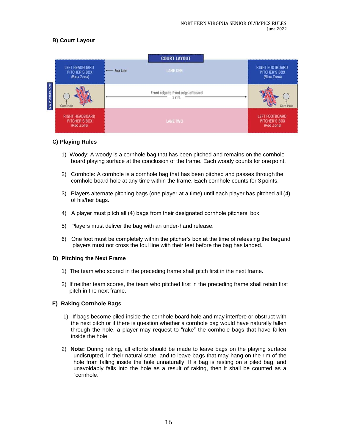# **B) Court Layout**



# **C) Playing Rules**

- 1) Woody: A woody is a cornhole bag that has been pitched and remains on the cornhole board playing surface at the conclusion of the frame. Each woody counts for one point.
- 2) Cornhole: A cornhole is a cornhole bag that has been pitched and passes throughthe cornhole board hole at any time within the frame. Each cornhole counts for 3 points.
- 3) Players alternate pitching bags (one player at a time) until each player has pitched all (4) of his/her bags.
- 4) A player must pitch all (4) bags from their designated cornhole pitchers' box.
- 5) Players must deliver the bag with an under-hand release.
- 6) One foot must be completely within the pitcher's box at the time of releasing the bagand players must not cross the foul line with their feet before the bag has landed.

# **D) Pitching the Next Frame**

- 1) The team who scored in the preceding frame shall pitch first in the next frame.
- 2) If neither team scores, the team who pitched first in the preceding frame shall retain first pitch in the next frame.

# **E) Raking Cornhole Bags**

- 1) If bags become piled inside the cornhole board hole and may interfere or obstruct with the next pitch or if there is question whether a cornhole bag would have naturally fallen through the hole, a player may request to "rake" the cornhole bags that have fallen inside the hole.
- 2) **Note:** During raking, all efforts should be made to leave bags on the playing surface undisrupted, in their natural state, and to leave bags that may hang on the rim of the hole from falling inside the hole unnaturally. If a bag is resting on a piled bag, and unavoidably falls into the hole as a result of raking, then it shall be counted as a "cornhole."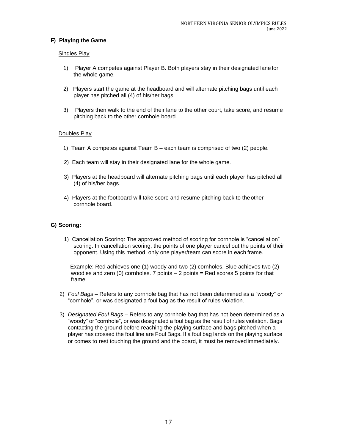# **F) Playing the Game**

# **Singles Play**

- 1) Player A competes against Player B. Both players stay in their designated lane for the whole game.
- 2) Players start the game at the headboard and will alternate pitching bags until each player has pitched all (4) of his/her bags.
- 3) Players then walk to the end of their lane to the other court, take score, and resume pitching back to the other cornhole board.

#### Doubles Play

- 1) Team A competes against Team B each team is comprised of two (2) people.
- 2) Each team will stay in their designated lane for the whole game.
- 3) Players at the headboard will alternate pitching bags until each player has pitched all (4) of his/her bags.
- 4) Players at the footboard will take score and resume pitching back to theother cornhole board.

# **G) Scoring:**

1) Cancellation Scoring: The approved method of scoring for cornhole is "cancellation" scoring. In cancellation scoring, the points of one player cancel out the points of their opponent. Using this method, only one player/team can score in each frame.

Example: Red achieves one (1) woody and two (2) cornholes. Blue achieves two (2) woodies and zero (0) cornholes. 7 points  $-2$  points  $=$  Red scores 5 points for that frame.

- 2) *Foul Bags*  Refers to any cornhole bag that has not been determined as a "woody" or "cornhole", or was designated a foul bag as the result of rules violation.
- 3) *Designated Foul Bags*  Refers to any cornhole bag that has not been determined as a "woody" or "cornhole", or was designated a foul bag as the result of rules violation. Bags contacting the ground before reaching the playing surface and bags pitched when a player has crossed the foul line are Foul Bags. If a foul bag lands on the playing surface or comes to rest touching the ground and the board, it must be removed immediately.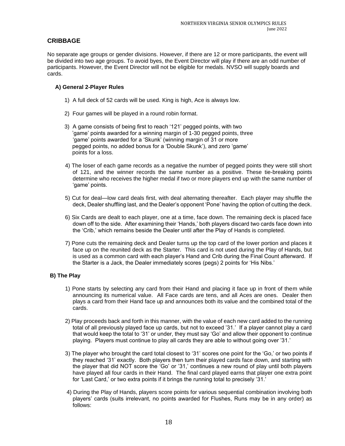# **CRIBBAGE**

No separate age groups or gender divisions. However, if there are 12 or more participants, the event will be divided into two age groups. To avoid byes, the Event Director will play if there are an odd number of participants. However, the Event Director will not be eligible for medals. NVSO will supply boards and cards.

# **A) General 2-Player Rules**

- 1) A full deck of 52 cards will be used. King is high, Ace is always low.
- 2) Four games will be played in a round robin format.
- 3) A game consists of being first to reach '121' pegged points, with two 'game' points awarded for a winning margin of 1-30 pegged points, three 'game' points awarded for a 'Skunk' (winning margin of 31 or more pegged points, no added bonus for a 'Double Skunk'), and zero 'game' points for a loss.
- 4) The loser of each game records as a negative the number of pegged points they were still short of 121, and the winner records the same number as a positive. These tie-breaking points determine who receives the higher medal if two or more players end up with the same number of 'game' points.
- 5) Cut for deal—low card deals first, with deal alternating thereafter. Each player may shuffle the deck, Dealer shuffling last, and the Dealer's opponent 'Pone' having the option of cutting the deck.
- 6) Six Cards are dealt to each player, one at a time, face down. The remaining deck is placed face down off to the side. After examining their 'Hands,' both players discard two cards face down into the 'Crib,' which remains beside the Dealer until after the Play of Hands is completed.
- 7) Pone cuts the remaining deck and Dealer turns up the top card of the lower portion and places it face up on the reunited deck as the Starter. This card is not used during the Play of Hands, but is used as a common card with each player's Hand and Crib during the Final Count afterward. If the Starter is a Jack, the Dealer immediately scores (pegs) 2 points for 'His Nibs.'

# **B) The Play**

- 1) Pone starts by selecting any card from their Hand and placing it face up in front of them while announcing its numerical value. All Face cards are tens, and all Aces are ones. Dealer then plays a card from their Hand face up and announces both its value and the combined total of the cards.
- 2) Play proceeds back and forth in this manner, with the value of each new card added to the running total of all previously played face up cards, but not to exceed '31.' If a player cannot play a card that would keep the total to '31' or under, they must say 'Go' and allow their opponent to continue playing. Players must continue to play all cards they are able to without going over '31.'
- 3) The player who brought the card total closest to '31' scores one point for the 'Go,' or two points if they reached '31' exactly. Both players then turn their played cards face down, and starting with the player that did NOT score the 'Go' or '31,' continues a new round of play until both players have played all four cards in their Hand. The final card played earns that player one extra point for 'Last Card,' or two extra points if it brings the running total to precisely '31.'
- 4) During the Play of Hands, players score points for various sequential combination involving both players' cards (suits irrelevant, no points awarded for Flushes, Runs may be in any order) as follows: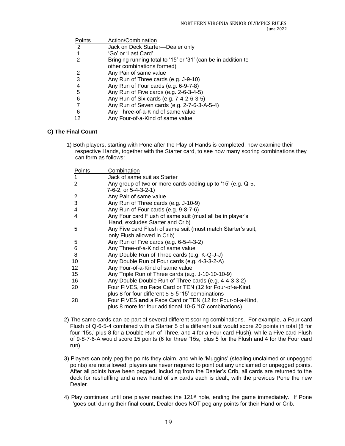| Points | Action/Combination                                            |
|--------|---------------------------------------------------------------|
| 2      | Jack on Deck Starter-Dealer only                              |
|        | 'Go' or 'Last Card'                                           |
| 2      | Bringing running total to '15' or '31' (can be in addition to |
|        | other combinations formed)                                    |
| 2      | Any Pair of same value                                        |
| 3      | Any Run of Three cards (e.g. J-9-10)                          |
| 4      | Any Run of Four cards (e.g. 6-9-7-8)                          |
| 5      | Any Run of Five cards (e.g. 2-6-3-4-5)                        |
| 6      | Any Run of Six cards (e.g. 7-4-2-6-3-5)                       |
|        | Any Run of Seven cards (e.g. 2-7-6-3-A-5-4)                   |
| 6      | Any Three-of-a-Kind of same value                             |
| 12     | Any Four-of-a-Kind of same value                              |
|        |                                                               |

# **C) The Final Count**

1) Both players, starting with Pone after the Play of Hands is completed, now examine their respective Hands, together with the Starter card, to see how many scoring combinations they can form as follows:

| Points | Combination                                                  |
|--------|--------------------------------------------------------------|
|        | Jack of same suit as Starter                                 |
| 2      | Any group of two or more cards adding up to '15' (e.g. Q-5,  |
|        | 7-6-2, or 5-4-3-2-1)                                         |
| 2      | Any Pair of same value                                       |
| 3      | Any Run of Three cards (e.g. J-10-9)                         |
| 4      | Any Run of Four cards (e.g. 9-8-7-6)                         |
| 4      | Any Four card Flush of same suit (must all be in player's    |
|        | Hand, excludes Starter and Crib)                             |
| 5      | Any Five card Flush of same suit (must match Starter's suit, |
|        | only Flush allowed in Crib)                                  |
| 5      | Any Run of Five cards (e.g. 6-5-4-3-2)                       |
| 6      | Any Three-of-a-Kind of same value                            |
| 8      | Any Double Run of Three cards (e.g. K-Q-J-J)                 |
| 10     | Any Double Run of Four cards (e.g. 4-3-3-2-A)                |
| 12     | Any Four-of-a-Kind of same value                             |
| 15     | Any Triple Run of Three cards (e.g. J-10-10-10-9)            |
| 16     | Any Double Double Run of Three cards (e.g. 4-4-3-3-2)        |
| 20     | Four FIVES, no Face Card or TEN (12 for Four-of-a-Kind,      |
|        | plus 8 for four different 5-5-5 '15' combinations            |
| 28     | Four FIVES and a Face Card or TEN (12 for Four-of-a-Kind,    |
|        | plus 8 more for four additional 10-5 '15' combinations)      |

- 2) The same cards can be part of several different scoring combinations. For example, a Four card Flush of Q-6-5-4 combined with a Starter 5 of a different suit would score 20 points in total (8 for four '15s,' plus 8 for a Double Run of Three, and 4 for a Four card Flush), while a Five card Flush of 9-8-7-6-A would score 15 points (6 for three '15s,' plus 5 for the Flush and 4 for the Four card run).
- 3) Players can only peg the points they claim, and while 'Muggins' (stealing unclaimed or unpegged points) are not allowed, players are never required to point out any unclaimed or unpegged points. After all points have been pegged, including from the Dealer's Crib, all cards are returned to the deck for reshuffling and a new hand of six cards each is dealt, with the previous Pone the new Dealer.
- 4) Play continues until one player reaches the 121st hole, ending the game immediately. If Pone 'goes out' during their final count, Dealer does NOT peg any points for their Hand or Crib.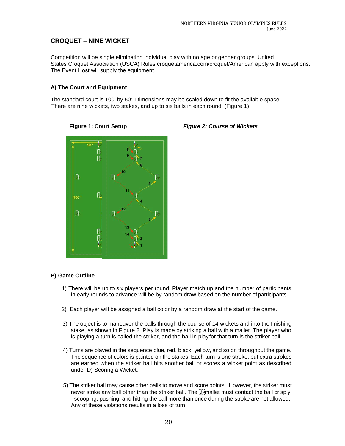# <span id="page-20-0"></span>**CROQUET – NINE WICKET**

Competition will be single elimination individual play with no age or gender groups. United States Croquet Association (USCA) Rules croquetamerica.com/croquet/American apply with exceptions. The Event Host will supply the equipment.

# **A) The Court and Equipment**

The standard court is 100' by 50'. Dimensions may be scaled down to fit the available space. There are nine wickets, two stakes, and up to six balls in each round. (Figure 1)



# **Figure 1: Court Setup** *Figure 2: Course of Wickets*

# **B) Game Outline**

- 1) There will be up to six players per round. Player match up and the number of participants in early rounds to advance will be by random draw based on the number of participants.
- 2) Each player will be assigned a ball color by a random draw at the start of the game.
- 3) The object is to maneuver the balls through the course of 14 wickets and into the finishing stake, as shown in Figure 2. Play is made by striking a ball with a mallet. The player who is playing a turn is called the striker, and the ball in playfor that turn is the striker ball.
- 4) Turns are played in the sequence blue, red, black, yellow, and so on throughout the game. The sequence of colors is painted on the stakes. Each turn is one stroke, but extra strokes are earned when the striker ball hits another ball or scores a wicket point as described under D) Scoring a Wicket.
- 5) The striker ball may cause other balls to move and score points. However, the striker must never strike any ball other than the striker ball. The **Franklin** must contact the ball crisply - scooping, pushing, and hitting the ball more than once during the stroke are not allowed. Any of these violations results in a loss of turn.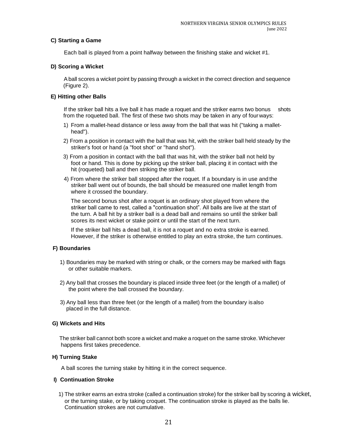# **C) Starting a Game**

Each ball is played from a point halfway between the finishing stake and wicket #1.

# **D) Scoring a Wicket**

Aball scores a wicket point by passing through a wicket in the correct direction and sequence (Figure 2).

# **E) Hitting other Balls**

If the striker ball hits a live ball it has made a roquet and the striker earns two bonus shots from the roqueted ball. The first of these two shots may be taken in any of fourways:

- 1) From a mallet-head distance or less away from the ball that was hit ("taking a mallethead").
- 2) From a position in contact with the ball that was hit, with the striker ball held steady by the striker's foot or hand (a "foot shot" or "hand shot").
- 3) From a position in contact with the ball that was hit, with the striker ball not held by foot or hand. This is done by picking up the striker ball, placing it in contact with the hit (roqueted) ball and then striking the striker ball.
- 4) From where the striker ball stopped after the roquet. If a boundary is in use and the striker ball went out of bounds, the ball should be measured one mallet length from where it crossed the boundary.

The second bonus shot after a roquet is an ordinary shot played from where the striker ball came to rest, called a "continuation shot". All balls are live at the start of the turn. A ball hit by a striker ball is a dead ball and remains so until the striker ball scores its next wicket or stake point or until the start of the next turn.

If the striker ball hits a dead ball, it is not a roquet and no extra stroke is earned. However, if the striker is otherwise entitled to play an extra stroke, the turn continues.

# **F) Boundaries**

- 1) Boundaries may be marked with string or chalk, or the corners may be marked with flags or other suitable markers.
- 2) Any ball that crosses the boundary is placed inside three feet (or the length of a mallet) of the point where the ball crossed the boundary.
- 3) Any ball less than three feet (or the length of a mallet) from the boundary isalso placed in the full distance.

# **G) Wickets and Hits**

The striker ball cannot both score a wicket and make a roquet on the same stroke. Whichever happens first takes precedence.

# **H) Turning Stake**

A ball scores the turning stake by hitting it in the correct sequence.

# **I) Continuation Stroke**

1) The striker earns an extra stroke (called a continuation stroke) for the striker ball by scoring a wicket, or the turning stake, or by taking croquet. The continuation stroke is played as the balls lie. Continuation strokes are not cumulative.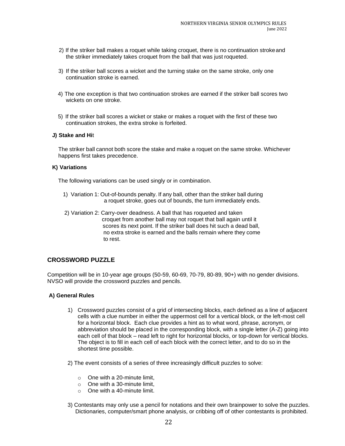- 2) If the striker ball makes a roquet while taking croquet, there is no continuation strokeand the striker immediately takes croquet from the ball that was just roqueted.
- 3) If the striker ball scores a wicket and the turning stake on the same stroke, only one continuation stroke is earned.
- 4) The one exception is that two continuation strokes are earned if the striker ball scores two wickets on one stroke.
- 5) If the striker ball scores a wicket or stake or makes a roquet with the first of these two continuation strokes, the extra stroke is forfeited.

# **J) Stake and Hi**t

The striker ball cannot both score the stake and make a roquet on the same stroke. Whichever happens first takes precedence.

#### **K) Variations**

The following variations can be used singly or in combination.

- 1) Variation 1: Out-of-bounds penalty. If any ball, other than the striker ball during a roquet stroke, goes out of bounds, the turn immediately ends.
- 2) Variation 2: Carry-over deadness. A ball that has roqueted and taken croquet from another ball may not roquet that ball again until it scores its next point. If the striker ball does hit such a dead ball, no extra stroke is earned and the balls remain where they come to rest.

# **CROSSWORD PUZZLE**

Competition will be in 10-year age groups (50-59, 60-69, 70-79, 80-89, 90+) with no gender divisions. NVSO will provide the crossword puzzles and pencils.

- 1) Crossword puzzles consist of a grid of intersecting blocks, each defined as a line of adjacent cells with a clue number in either the uppermost cell for a vertical block, or the left-most cell for a horizontal block. Each clue provides a hint as to what word, phrase, acronym, or abbreviation should be placed in the corresponding block, with a single letter (A-Z) going into each cell of that block – read left to right for horizontal blocks, or top-down for vertical blocks. The object is to fill in each cell of each block with the correct letter, and to do so in the shortest time possible.
- 2) The event consists of a series of three increasingly difficult puzzles to solve:
	- $\circ$  One with a 20-minute limit,
	- o One with a 30-minute limit,
	- $\circ$  One with a 40-minute limit.
- 3) Contestants may only use a pencil for notations and their own brainpower to solve the puzzles. Dictionaries, computer/smart phone analysis, or cribbing off of other contestants is prohibited.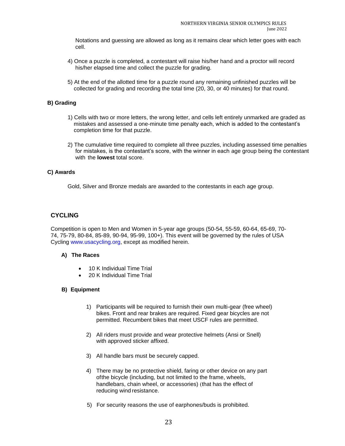Notations and guessing are allowed as long as it remains clear which letter goes with each cell.

- 4) Once a puzzle is completed, a contestant will raise his/her hand and a proctor will record his/her elapsed time and collect the puzzle for grading.
- 5) At the end of the allotted time for a puzzle round any remaining unfinished puzzles will be collected for grading and recording the total time (20, 30, or 40 minutes) for that round.

# **B) Grading**

- 1) Cells with two or more letters, the wrong letter, and cells left entirely unmarked are graded as mistakes and assessed a one-minute time penalty each, which is added to the contestant's completion time for that puzzle.
- 2) The cumulative time required to complete all three puzzles, including assessed time penalties for mistakes, is the contestant's score, with the winner in each age group being the contestant with the **lowest** total score.

# **C) Awards**

Gold, Silver and Bronze medals are awarded to the contestants in each age group.

# **CYCLING**

Competition is open to Men and Women in 5-year age groups (50-54, 55-59, 60-64, 65-69, 70- 74, 75-79, 80-84, 85-89, 90-94, 95-99, 100+). This event will be governed by the rules of USA Cycling [www.usacycling.org, e](http://www.usacycling.org/)xcept as modified herein.

# **A) The Races**

- 10 K Individual Time Trial
- 20 K Individual Time Trial

# **B) Equipment**

- 1) Participants will be required to furnish their own multi-gear (free wheel) bikes. Front and rear brakes are required. Fixed gear bicycles are not permitted. Recumbent bikes that meet USCF rules are permitted.
- 2) All riders must provide and wear protective helmets (Ansi or Snell) with approved sticker affixed.
- 3) All handle bars must be securely capped.
- 4) There may be no protective shield, faring or other device on any part ofthe bicycle (including, but not limited to the frame, wheels, handlebars, chain wheel, or accessories) (that has the effect of reducing wind resistance.
- 5) For security reasons the use of earphones/buds is prohibited.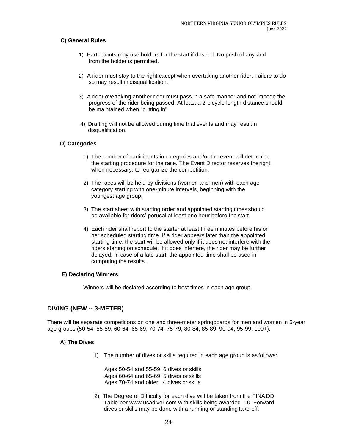# **C) General Rules**

- 1) Participants may use holders for the start if desired. No push of any kind from the holder is permitted.
- 2) A rider must stay to the right except when overtaking another rider. Failure to do so may result in disqualification.
- 3) A rider overtaking another rider must pass in a safe manner and not impede the progress of the rider being passed. At least a 2-bicycle length distance should be maintained when "cutting in".
- 4) Drafting will not be allowed during time trial events and may resultin disqualification.

# **D) Categories**

- 1) The number of participants in categories and/or the event will determine the starting procedure for the race. The Event Director reserves theright, when necessary, to reorganize the competition.
- 2) The races will be held by divisions (women and men) with each age category starting with one-minute intervals, beginning with the youngest age group.
- 3) The start sheet with starting order and appointed starting times should be available for riders' perusal at least one hour before the start.
- 4) Each rider shall report to the starter at least three minutes before his or her scheduled starting time. If a rider appears later than the appointed starting time, the start will be allowed only if it does not interfere with the riders starting on schedule. If it does interfere, the rider may be further delayed. In case of a late start, the appointed time shall be used in computing the results.

# **E) Declaring Winners**

<span id="page-24-0"></span>Winners will be declared according to best times in each age group.

# **DIVING (NEW -- 3-METER)**

There will be separate competitions on one and three-meter springboards for men and women in 5-year age groups (50-54, 55-59, 60-64, 65-69, 70-74, 75-79, 80-84, 85-89, 90-94, 95-99, 100+).

# **A) The Dives**

1) The number of dives or skills required in each age group is as follows:

Ages 50-54 and 55-59: 6 dives or skills Ages 60-64 and 65-69: 5 dives or skills Ages 70-74 and older: 4 dives or skills

2) The Degree of Difficulty for each dive will be taken from the FINA DD Table per [www.usadiver.com w](http://www.usadiver.com/)ith skills being awarded 1.0. Forward dives or skills may be done with a running or standing take-off.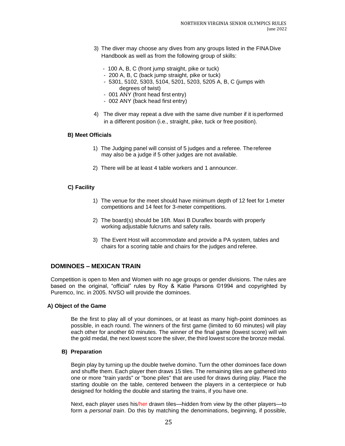- 3) The diver may choose any dives from any groups listed in the FINADive Handbook as well as from the following group of skills:
	- 100 A, B, C (front jump straight, pike or tuck)
	- 200 A, B, C (back jump straight, pike or tuck)
	- 5301, 5102, 5303, 5104, 5201, 5203, 5205 A, B, C (jumps with degrees of twist)
	- 001 ANY (front head first entry)
	- 002 ANY (back head first entry)
- 4) The diver may repeat a dive with the same dive number if it isperformed in a different position (i.e., straight, pike, tuck or free position).

#### **B) Meet Officials**

- 1) The Judging panel will consist of 5 judges and a referee. Thereferee may also be a judge if 5 other judges are not available.
- 2) There will be at least 4 table workers and 1 announcer.

#### **C) Facility**

- 1) The venue for the meet should have minimum depth of 12 feet for 1-meter competitions and 14 feet for 3-meter competitions.
- 2) The board(s) should be 16ft. Maxi B Duraflex boards with properly working adjustable fulcrums and safety rails.
- 3) The Event Host will accommodate and provide a PA system, tables and chairs for a scoring table and chairs for the judges and referee.

# <span id="page-25-0"></span>**DOMINOES – MEXICAN TRAIN**

Competition is open to Men and Women with no age groups or gender divisions. The rules are based on the original, "official" rules by Roy & Katie Parsons ©1994 and copyrighted by Puremco, Inc. in 2005. NVSO will provide the dominoes.

#### **A) Object of the Game**

Be the first to play all of your dominoes, or at least as many high-point dominoes as possible, in each round. The winners of the first game (limited to 60 minutes) will play each other for another 60 minutes. The winner of the final game (lowest score) will win the gold medal, the next lowest score the silver, the third lowest score the bronze medal.

# **B) Preparation**

Begin play by turning up the double twelve domino. Turn the other dominoes face down and shuffle them. Each player then draws 15 tiles. The remaining tiles are gathered into one or more "train yards" or "bone piles" that are used for draws during play. Place the starting double on the table, centered between the players in a centerpiece or hub designed for holding the double and starting the trains, if you have one.

Next, each player uses his/her drawn tiles—hidden from view by the other players—to form a *personal train*. Do this by matching the denominations, beginning, if possible,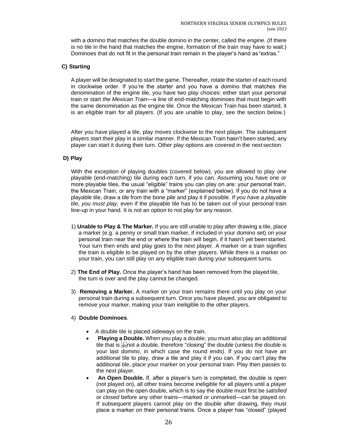with a domino that matches the double domino in the center, called the *engine*. (If there is no tile in the hand that matches the engine, formation of the train may have to wait.) Dominoes that do not fit in the personal train remain in the player's hand as "extras."

# **C) Starting**

A player will be designated to start the game. Thereafter, rotate the starter of each round in clockwise order. If you're the starter and you have a domino that matches the denomination of the engine tile, you have two play choices: either start your personal train or start *the Mexican Train*—a line of end-matching dominoes that must begin with the same denomination as the engine tile. Once the Mexican Train has been started, it is an eligible train for all players. (If you are unable to play, see the section below.)

After you have played a tile, play moves clockwise to the next player. The subsequent players start their play in a similar manner. If the Mexican Train hasn't been started, any player can start it during their turn. Other play options are covered in the next section.

# **D) Play**

With the exception of playing doubles (covered below), you are allowed to play *one*  playable (end-matching) tile during each turn, if you can. Assuming you have one or more playable tiles, the usual "eligible" trains you can play on are: your personal train, the Mexican Train, or any train with a "marker" (explained below). If you do not have a playable tile, draw a tile from the bone pile and play it if possible. *If you have a playable tile, you must play,* even if the playable tile has to be taken out of your personal train line-up in your hand. It is not an option to not play for any reason.

- 1) **Unable to Play & The Marker.** If you are still unable to play after drawing a tile, place a marker (e.g. a penny or small train marker, if included in your domino set) on your personal train near the end or where the train will begin, if it hasn't yet beenstarted. Your turn then ends and play goes to the next player. A marker on a train signifies the train is eligible to be played on by the other players. While there is a marker on your train, you can still play on any eligible train during your subsequent turns.
- 2) **The End of Play.** Once the player's hand has been removed from the played tile, the turn is over and the play cannot be changed.
- 3) **Removing a Marker.** A marker on your train remains there until you play on your personal train during a subsequent turn. Once you have played, you are obligated to remove your marker, making your train ineligible to the other players.

# 4) **Double Dominoes**.

- A double tile is placed sideways on the train.
- **Playing a Double.** When you play a double, you must also play an additional tile that is **sumption** a double, therefore "closing" the double (unless the double is your last domino, in which case the round ends). If you do not have an additional tile to play, draw a tile and play it if you can. If you can't play the additional tile, place your marker on your personal train. Play then passes to the next player.
- **An Open Double.** If, after a player's turn is completed, the double is open (not played on), all other trains become ineligible for all players until a player can play on the open double, which is to say the double must first be *satisfied*  or *closed* before any other trains—marked or unmarked—can be played on. If subsequent players cannot play on the double after drawing, they must place a marker on their personal trains. Once a player has "closed" (played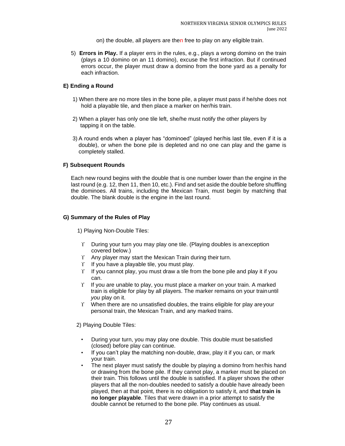- on) the double, all players are then free to play on any eligible train.
- 5) **Errors in Play.** If a player errs in the rules, e.g., plays a wrong domino on the train (plays a 10 domino on an 11 domino), excuse the first infraction. But if continued errors occur, the player must draw a domino from the bone yard as a penalty for each infraction.

# **E) Ending a Round**

- 1) When there are no more tiles in the bone pile, a player must pass if he/she does not hold a playable tile, and then place a marker on her/his train.
- 2) When a player has only one tile left, she/he must notify the other players by tapping it on the table.
- 3) A round ends when a player has "dominoed" (played her/his last tile, even if it is a double), or when the bone pile is depleted and no one can play and the game is completely stalled.

# **F) Subsequent Rounds**

Each new round begins with the double that is one number lower than the engine in the last round (e.g. 12, then 11, then 10, etc.). Find and set aside the double before shuffling the dominoes. All trains, including the Mexican Train, must begin by matching that double. The blank double is the engine in the last round.

# **G) Summary of the Rules of Play**

1) Playing Non-Double Tiles:

- $\Upsilon$  During your turn you may play one tile. (Playing doubles is anexception covered below.)
- $\Upsilon$  Any player may start the Mexican Train during their turn.
- $\Upsilon$  If you have a playable tile, you must play.
- $\Upsilon$  If you cannot play, you must draw a tile from the bone pile and play it if you can.
- $\Upsilon$  If you are unable to play, you must place a marker on your train. A marked train is eligible for play by all players. The marker remains on your trainuntil *you* play on it.
- $\Upsilon$  When there are no unsatisfied doubles, the trains eligible for play are your personal train, the Mexican Train, and any marked trains.

2) Playing Double Tiles:

- During your turn, you may play one double. This double must besatisfied (closed) before play can continue.
- If you can't play the matching non-double, draw, play it if you can, or mark your train.
- The next player must satisfy the double by playing a domino from her/his hand or drawing from the bone pile. If they cannot play, a marker must be placed on their train. This follows until the double is satisfied. If a player shows the other players that all the non-doubles needed to satisfy a double have already been played, then at that point, there is no obligation to satisfy it, and **that train is no longer playable**. Tiles that were drawn in a prior attempt to satisfy the double cannot be returned to the bone pile. Play continues as usual.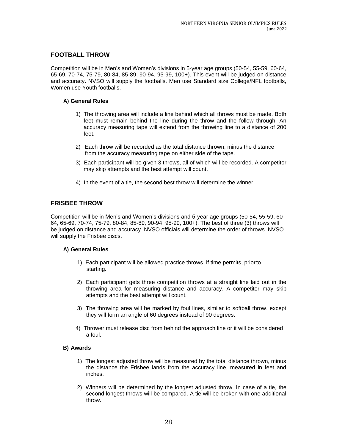# <span id="page-28-0"></span>**FOOTBALL THROW**

Competition will be in Men's and Women's divisions in 5-year age groups (50-54, 55-59, 60-64, 65-69, 70-74, 75-79, 80-84, 85-89, 90-94, 95-99, 100+). This event will be judged on distance and accuracy. NVSO will supply the footballs. Men use Standard size College/NFL footballs, Women use Youth footballs.

# **A) General Rules**

- 1) The throwing area will include a line behind which all throws must be made. Both feet must remain behind the line during the throw and the follow through. An accuracy measuring tape will extend from the throwing line to a distance of 200 feet.
- 2) Each throw will be recorded as the total distance thrown, minus the distance from the accuracy measuring tape on either side of the tape.
- 3) Each participant will be given 3 throws, all of which will be recorded. A competitor may skip attempts and the best attempt will count.
- 4) In the event of a tie, the second best throw will determine the winner.

# <span id="page-28-1"></span>**FRISBEE THROW**

Competition will be in Men's and Women's divisions and 5-year age groups (50-54, 55-59, 60- 64, 65-69, 70-74, 75-79, 80-84, 85-89, 90-94, 95-99, 100+). The best of three (3) throws will be judged on distance and accuracy. NVSO officials will determine the order of throws. NVSO will supply the Frisbee discs.

# **A) General Rules**

- 1) Each participant will be allowed practice throws, if time permits, priorto starting.
- 2) Each participant gets three competition throws at a straight line laid out in the throwing area for measuring distance and accuracy. A competitor may skip attempts and the best attempt will count.
- 3) The throwing area will be marked by foul lines, similar to softball throw, except they will form an angle of 60 degrees instead of 90 degrees.
- 4) Thrower must release disc from behind the approach line or it will be considered a foul.

# **B) Awards**

- 1) The longest adjusted throw will be measured by the total distance thrown, minus the distance the Frisbee lands from the accuracy line, measured in feet and inches.
- 2) Winners will be determined by the longest adjusted throw. In case of a tie, the second longest throws will be compared. A tie will be broken with one additional throw.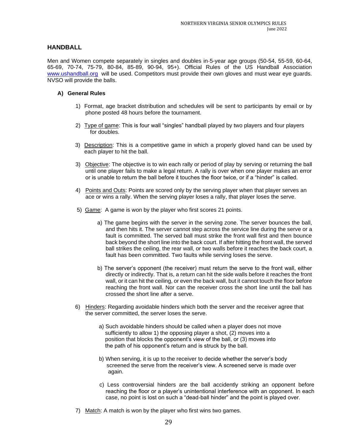# **HANDBALL**

Men and Women compete separately in singles and doubles in 5-year age groups (50-54, 55-59, 60-64, 65-69, 70-74, 75-79, 80-84, 85-89, 90-94, 95+). Official Rules of the US Handball Association [www.ushandball.org](http://www.ushandball.org/) will be used. Competitors must provide their own gloves and must wear eye guards. NVSO will provide the balls.

- 1) Format, age bracket distribution and schedules will be sent to participants by email or by phone posted 48 hours before the tournament.
- 2) Type of game: This is four wall "singles" handball played by two players and four players for doubles.
- 3) Description: This is a competitive game in which a properly gloved hand can be used by each player to hit the ball.
- 3) Objective: The objective is to win each rally or period of play by serving or returning the ball until one player fails to make a legal return. A rally is over when one player makes an error or is unable to return the ball before it touches the floor twice, or if a "hinder" is called.
- 4) Points and Outs: Points are scored only by the serving player when that player serves an ace or wins a rally. When the serving player loses a rally, that player loses the serve.
- 5) Game: A game is won by the player who first scores 21 points.
	- a) The game begins with the server in the serving zone. The server bounces the ball, and then hits it. The server cannot step across the service line during the serve or a fault is committed. The served ball must strike the front wall first and then bounce back beyond the short line into the back court. If after hitting the front wall, the served ball strikes the ceiling, the rear wall, or two walls before it reaches the back court, a fault has been committed. Two faults while serving loses the serve.
	- b) The server's opponent (the receiver) must return the serve to the front wall, either directly or indirectly. That is, a return can hit the side walls before it reaches the front wall, or it can hit the ceiling, or even the back wall, but it cannot touch the floor before reaching the front wall. Nor can the receiver cross the short line until the ball has crossed the short line after a serve.
- 6) Hinders: Regarding avoidable hinders which both the server and the receiver agree that the server committed, the server loses the serve.
	- a) Such avoidable hinders should be called when a player does not move sufficiently to allow 1) the opposing player a shot, (2) moves into a position that blocks the opponent's view of the ball, or (3) moves into the path of his opponent's return and is struck by the ball.
	- b) When serving, it is up to the receiver to decide whether the server's body screened the serve from the receiver's view. A screened serve is made over again.
	- c) Less controversial hinders are the ball accidently striking an opponent before reaching the floor or a player's unintentional interference with an opponent. In each case, no point is lost on such a "dead-ball hinder" and the point is played over.
- 7) Match: A match is won by the player who first wins two games.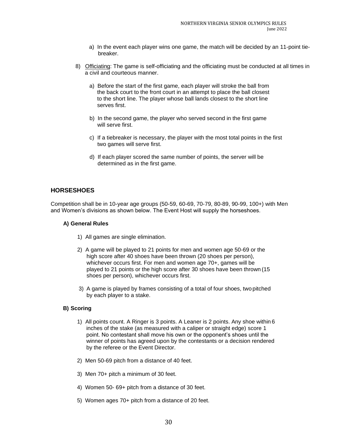- a) In the event each player wins one game, the match will be decided by an 11-point tiebreaker.
- 8) Officiating: The game is self-officiating and the officiating must be conducted at all times in a civil and courteous manner.
	- a) Before the start of the first game, each player will stroke the ball from the back court to the front court in an attempt to place the ball closest to the short line. The player whose ball lands closest to the short line serves first.
	- b) In the second game, the player who served second in the first game will serve first.
	- c) If a tiebreaker is necessary, the player with the most total points in the first two games will serve first.
	- d) If each player scored the same number of points, the server will be determined as in the first game.

# <span id="page-30-0"></span>**HORSESHOES**

Competition shall be in 10-year age groups (50-59, 60-69, 70-79, 80-89, 90-99, 100+) with Men and Women's divisions as shown below. The Event Host will supply the horseshoes.

#### **A) General Rules**

- 1) All games are single elimination.
- 2) A game will be played to 21 points for men and women age 50-69 or the high score after 40 shoes have been thrown (20 shoes per person), whichever occurs first. For men and women age 70+, games will be played to 21 points or the high score after 30 shoes have been thrown (15 shoes per person), whichever occurs first.
- 3) A game is played by frames consisting of a total of four shoes, two pitched by each player to a stake.

# **B) Scoring**

- 1) All points count. A Ringer is 3 points. A Leaner is 2 points. Any shoe within 6 inches of the stake (as measured with a caliper or straight edge) score 1 point. No contestant shall move his own or the opponent's shoes until the winner of points has agreed upon by the contestants or a decision rendered by the referee or the Event Director.
- 2) Men 50-69 pitch from a distance of 40 feet.
- 3) Men 70+ pitch a minimum of 30 feet.
- 4) Women 50- 69+ pitch from a distance of 30 feet.
- 5) Women ages 70+ pitch from a distance of 20 feet.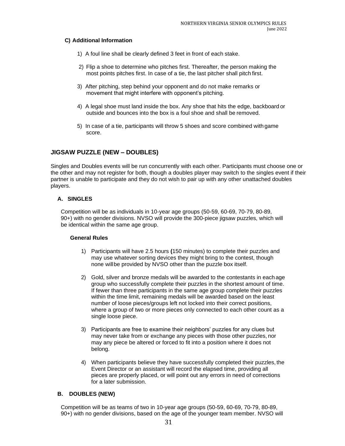# **C) Additional Information**

- 1) A foul line shall be clearly defined 3 feet in front of each stake.
- 2) Flip a shoe to determine who pitches first. Thereafter, the person making the most points pitches first. In case of a tie, the last pitcher shall pitch first.
- 3) After pitching, step behind your opponent and do not make remarks or movement that might interfere with opponent's pitching.
- 4) A legal shoe must land inside the box. Any shoe that hits the edge, backboard or outside and bounces into the box is a foul shoe and shall be removed.
- 5) In case of a tie, participants will throw 5 shoes and score combined with game score.

# <span id="page-31-0"></span>**JIGSAW PUZZLE (NEW – DOUBLES)**

Singles and Doubles events will be run concurrently with each other. Participants must choose one or the other and may not register for both, though a doubles player may switch to the singles event if their partner is unable to participate and they do not wish to pair up with any other unattached doubles players.

# **A. SINGLES**

Competition will be as individuals in 10-year age groups (50-59, 60-69, 70-79, 80-89, 90+) with no gender divisions. NVSO will provide the 300-piece jigsaw puzzles, which will be identical within the same age group.

# **General Rules**

- 1) Participants will have 2.5 hours **(**150 minutes) to complete their puzzles and may use whatever sorting devices they might bring to the contest, though none willbe provided by NVSO other than the puzzle box itself.
- 2) Gold, silver and bronze medals will be awarded to the contestants in each age group who successfully complete their puzzles in the shortest amount of time. If fewer than three participants in the same age group complete their puzzles within the time limit, remaining medals will be awarded based on the least number of loose pieces/groups left not locked into their correct positions, where a group of two or more pieces only connected to each other count as a single loose piece.
- 3) Participants are free to examine their neighbors' puzzles for any clues but may never take from or exchange any pieces with those other puzzles, nor may any piece be altered or forced to fit into a position where it does not belong.
- 4) When participants believe they have successfully completed their puzzles, the Event Director or an assistant will record the elapsed time, providing all pieces are properly placed, or will point out any errors in need of corrections for a later submission.

# **B. DOUBLES (NEW)**

Competition will be as teams of two in 10-year age groups (50-59, 60-69, 70-79, 80-89, 90+) with no gender divisions, based on the age of the younger team member. NVSO will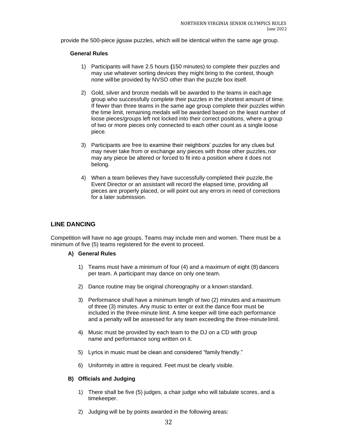provide the 500-piece jigsaw puzzles, which will be identical within the same age group.

#### **General Rules**

- 1) Participants will have 2.5 hours **(**150 minutes) to complete their puzzles and may use whatever sorting devices they might bring to the contest, though none willbe provided by NVSO other than the puzzle box itself.
- 2) Gold, silver and bronze medals will be awarded to the teams in eachage group who successfully complete their puzzles in the shortest amount of time. If fewer than three teams in the same age group complete their puzzles within the time limit, remaining medals will be awarded based on the least number of loose pieces/groups left not locked into their correct positions, where a group of two or more pieces only connected to each other count as a single loose piece.
- 3) Participants are free to examine their neighbors' puzzles for any clues but may never take from or exchange any pieces with those other puzzles, nor may any piece be altered or forced to fit into a position where it does not belong.
- 4) When a team believes they have successfully completed their puzzle, the Event Director or an assistant will record the elapsed time, providing all pieces are properly placed, or will point out any errors in need of corrections for a later submission.

# **LINE DANCING**

Competition will have no age groups. Teams may include men and women. There must be a minimum of five (5) teams registered for the event to proceed.

#### **A) General Rules**

- 1) Teams must have a minimum of four (4) and a maximum of eight (8) dancers per team. A participant may dance on only one team.
- 2) Dance routine may be original choreography or a known standard.
- 3) Performance shall have a minimum length of two (2) minutes and a maximum of three (3) minutes. Any music to enter or exit the dance floor must be included in the three-minute limit. A time keeper will time each performance and a penalty will be assessed for any team exceeding the three-minute limit.
- 4) Music must be provided by each team to the DJ on a CD with group name and performance song written on it.
- 5) Lyrics in music must be clean and considered "family friendly."
- 6) Uniformity in attire is required. Feet must be clearly visible.

# **B) Officials and Judging**

- 1) There shall be five (5) judges, a chair judge who will tabulate scores, and a timekeeper.
- 2) Judging will be by points awarded in the following areas: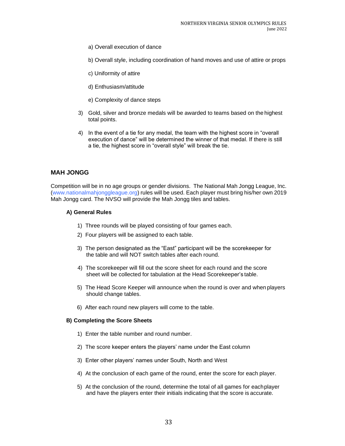- a) Overall execution of dance
- b) Overall style, including coordination of hand moves and use of attire or props
- c) Uniformity of attire
- d) Enthusiasm/attitude
- e) Complexity of dance steps
- 3) Gold, silver and bronze medals will be awarded to teams based on the highest total points.
- 4) In the event of a tie for any medal, the team with the highest score in "overall execution of dance" will be determined the winner of that medal. If there is still a tie, the highest score in "overall style" will break the tie.

# **MAH JONGG**

Competition will be in no age groups or gender divisions. The National Mah Jongg League, Inc. (www.nationalmahjonggleague.org) rules will be used. Each player must bring his/her own 2019 Mah Jongg card. The NVSO will provide the Mah Jongg tiles and tables.

#### **A) General Rules**

- 1) Three rounds will be played consisting of four games each.
- 2) Four players will be assigned to each table.
- 3) The person designated as the "East" participant will be the scorekeeper for the table and will NOT switch tables after each round.
- 4) The scorekeeper will fill out the score sheet for each round and the score sheet will be collected for tabulation at the Head Scorekeeper's table.
- 5) The Head Score Keeper will announce when the round is over and when players should change tables.
- 6) After each round new players will come to the table.

#### **B) Completing the Score Sheets**

- 1) Enter the table number and round number.
- 2) The score keeper enters the players' name under the East column
- 3) Enter other players' names under South, North and West
- 4) At the conclusion of each game of the round, enter the score for each player.
- 5) At the conclusion of the round, determine the total of all games for eachplayer and have the players enter their initials indicating that the score is accurate.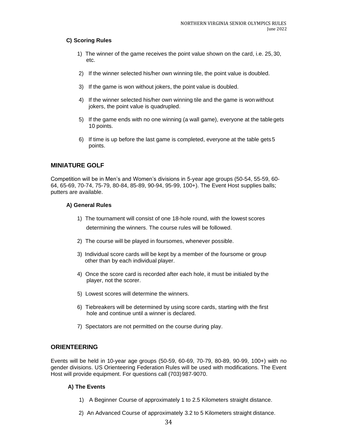# **C) Scoring Rules**

- 1) The winner of the game receives the point value shown on the card, i.e. 25,30, etc.
- 2) If the winner selected his/her own winning tile, the point value is doubled.
- 3) If the game is won without jokers, the point value is doubled.
- 4) If the winner selected his/her own winning tile and the game is won without jokers, the point value is quadrupled.
- 5) If the game ends with no one winning (a wall game), everyone at the tablegets 10 points.
- 6) If time is up before the last game is completed, everyone at the table gets5 points.

# <span id="page-34-0"></span>**MINIATURE GOLF**

Competition will be in Men's and Women's divisions in 5-year age groups (50-54, 55-59, 60- 64, 65-69, 70-74, 75-79, 80-84, 85-89, 90-94, 95-99, 100+). The Event Host supplies balls; putters are available.

# **A) General Rules**

- 1) The tournament will consist of one 18-hole round, with the lowest scores determining the winners. The course rules will be followed.
- 2) The course will be played in foursomes, whenever possible.
- 3) Individual score cards will be kept by a member of the foursome or group other than by each individual player.
- 4) Once the score card is recorded after each hole, it must be initialed by the player, not the scorer.
- 5) Lowest scores will determine the winners.
- 6) Tiebreakers will be determined by using score cards, starting with the first hole and continue until a winner is declared.
- 7) Spectators are not permitted on the course during play.

# **ORIENTEERING**

Events will be held in 10-year age groups (50-59, 60-69, 70-79, 80-89, 90-99, 100+) with no gender divisions. US Orienteering Federation Rules will be used with modifications. The Event Host will provide equipment. For questions call (703)987-9070.

# **A) The Events**

- 1) A Beginner Course of approximately 1 to 2.5 Kilometers straight distance.
- 2) An Advanced Course of approximately 3.2 to 5 Kilometers straight distance.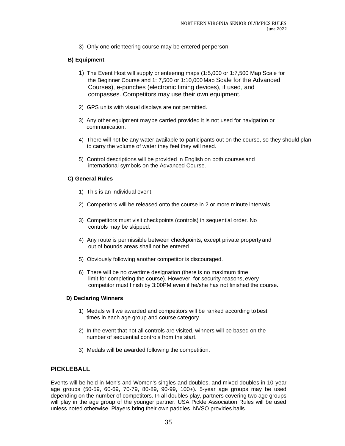3) Only one orienteering course may be entered per person.

# **B) Equipment**

- 1) The Event Host will supply orienteering maps (1:5,000 or 1:7,500 Map Scale for the Beginner Course and 1: 7,500 or 1:10,000 Map Scale for the Advanced Courses), e-punches (electronic timing devices), if used*,* and compasses. Competitors may use their own equipment.
- 2) GPS units with visual displays are not permitted.
- 3) Any other equipment maybe carried provided it is not used for navigation or communication.
- 4) There will not be any water available to participants out on the course, so they should plan to carry the volume of water they feel they will need.
- 5) Control descriptions will be provided in English on both courses and international symbols on the Advanced Course.

# **C) General Rules**

- 1) This is an individual event.
- 2) Competitors will be released onto the course in 2 or more minute intervals.
- 3) Competitors must visit checkpoints (controls) in sequential order. No controls may be skipped.
- 4) Any route is permissible between checkpoints, except private property and out of bounds areas shall not be entered.
- 5) Obviously following another competitor is discouraged.
- 6) There will be no overtime designation (there is no maximum time limit for completing the course). However, for security reasons, every competitor must finish by 3:00PM even if he/she has not finished the course.

# **D) Declaring Winners**

- 1) Medals will we awarded and competitors will be ranked according tobest times in each age group and course category.
- 2) In the event that not all controls are visited, winners will be based on the number of sequential controls from the start.
- 3) Medals will be awarded following the competition.

# **PICKLEBALL**

Events will be held in Men's and Women's singles and doubles, and mixed doubles in 10-year age groups (50-59, 60-69, 70-79, 80-89, 90-99, 100+). 5-year age groups may be used depending on the number of competitors. In all doubles play, partners covering two age groups will play in the age group of the younger partner. USA Pickle Association Rules will be used unless noted otherwise. Players bring their own paddles. NVSO provides balls.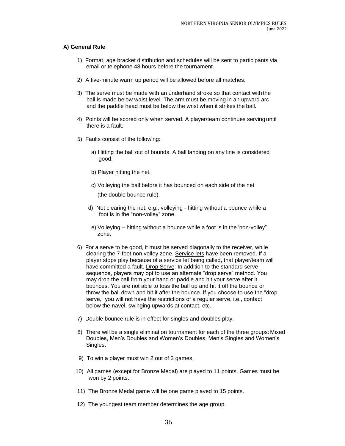- 1) Format, age bracket distribution and schedules will be sent to participants via email or telephone 48 hours before the tournament.
- 2) A five-minute warm up period will be allowed before all matches.
- 3) The serve must be made with an underhand stroke so that contact with the ball is made below waist level. The arm must be moving in an upward arc and the paddle head must be below the wrist when it strikes the ball.
- 4) Points will be scored only when served. A player/team continues servinguntil there is a fault.
- 5) Faults consist of the following:
	- a) Hitting the ball out of bounds. A ball landing on any line is considered good.
	- b) Player hitting the net.
	- c) Volleying the ball before it has bounced on each side of the net (the double bounce rule).
	- d) Not clearing the net, e.g., volleying hitting without a bounce while a foot is in the "non-volley" zone.
	- e) Volleying hitting without a bounce while a foot is in the"non-volley" zone.
- 6) For a serve to be good, it must be served diagonally to the receiver, while clearing the 7-foot non volley zone. Service lets have been removed. If a player stops play because of a service let being called, that player/team will have committed a fault. Drop Serve: In addition to the standard serve sequence, players may opt to use an alternate "drop serve" method. You may drop the ball from your hand or paddle and hit your serve after it bounces. You are not able to toss the ball up and hit it off the bounce or throw the ball down and hit it after the bounce. If you choose to use the "drop serve," you will not have the restrictions of a regular serve, i.e., contact below the navel, swinging upwards at contact, etc.
- 7) Double bounce rule is in effect for singles and doubles play.
- 8) There will be a single elimination tournament for each of the three groups: Mixed Doubles, Men's Doubles and Women's Doubles, Men's Singles and Women's Singles.
- 9) To win a player must win 2 out of 3 games.
- 10) All games (except for Bronze Medal) are played to 11 points. Games must be won by 2 points.
- 11) The Bronze Medal game will be one game played to 15 points.
- 12) The youngest team member determines the age group.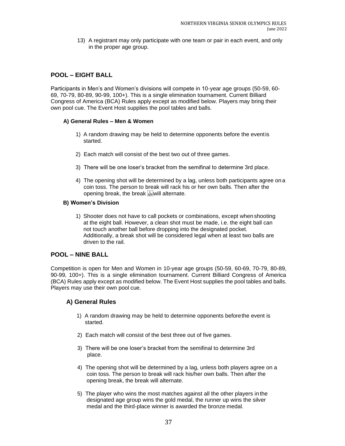13) A registrant may only participate with one team or pair in each event, and only in the proper age group.

# <span id="page-37-0"></span>**POOL – EIGHT BALL**

Participants in Men's and Women's divisions will compete in 10-year age groups (50-59, 60- 69, 70-79, 80-89, 90-99, 100+). This is a single elimination tournament. Current Billiard Congress of America (BCA) Rules apply except as modified below. Players may bring their own pool cue. The Event Host supplies the pool tables and balls.

# **A) General Rules – Men & Women**

- 1) A random drawing may be held to determine opponents before the eventis started.
- 2) Each match will consist of the best two out of three games.
- 3) There will be one loser's bracket from the semifinal to determine 3rd place.
- 4) The opening shot will be determined by a lag, unless both participants agree on a coin toss. The person to break will rack his or her own balls. Then after the opening break, the break stewill alternate.

# **B) Women's Division**

1) Shooter does not have to call pockets or combinations, except when shooting at the eight ball. However, a clean shot must be made, i.e. the eight ball can not touch another ball before dropping into the designated pocket. Additionally, a break shot will be considered legal when at least two balls are driven to the rail.

# <span id="page-37-1"></span>**POOL – NINE BALL**

Competition is open for Men and Women in 10-year age groups (50-59, 60-69, 70-79, 80-89, 90-99, 100+). This is a single elimination tournament. Current Billiard Congress of America (BCA) Rules apply except as modified below. The Event Host supplies the pool tables and balls. Players may use their own pool cue.

- 1) A random drawing may be held to determine opponents beforethe event is started.
- 2) Each match will consist of the best three out of five games.
- 3) There will be one loser's bracket from the semifinal to determine 3rd place.
- 4) The opening shot will be determined by a lag, unless both players agree on a coin toss. The person to break will rack his/her own balls. Then after the opening break, the break will alternate.
- 5) The player who wins the most matches against all the other players in the designated age group wins the gold medal, the runner up wins the silver medal and the third-place winner is awarded the bronze medal.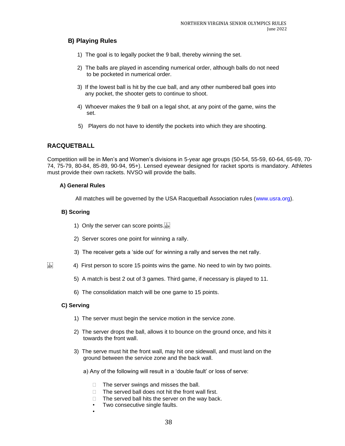# **B) Playing Rules**

- 1) The goal is to legally pocket the 9 ball, thereby winning the set.
- 2) The balls are played in ascending numerical order, although balls do not need to be pocketed in numerical order.
- 3) If the lowest ball is hit by the cue ball, and any other numbered ball goes into any pocket, the shooter gets to continue to shoot.
- 4) Whoever makes the 9 ball on a legal shot, at any point of the game, wins the set.
- 5) Players do not have to identify the pockets into which they are shooting.

# **RACQUETBALL**

Competition will be in Men's and Women's divisions in 5-year age groups (50-54, 55-59, 60-64, 65-69, 70- 74, 75-79, 80-84, 85-89, 90-94, 95+). Lensed eyewear designed for racket sports is mandatory. Athletes must provide their own rackets. NVSO will provide the balls.

# **A) General Rules**

All matches will be governed by the USA Racquetball Association rules (www.usra.org).

# **B) Scoring**

- 1) Only the server can score points.
- 2) Server scores one point for winning a rally.
- 3) The receiver gets a 'side out' for winning a rally and serves the net rally.
- $\frac{1}{15}$  4) First person to score 15 points wins the game. No need to win by two points.
	- 5) A match is best 2 out of 3 games. Third game, if necessary is played to 11.
	- 6) The consolidation match will be one game to 15 points.

# **C) Serving**

•

- 1) The server must begin the service motion in the service zone.
- 2) The server drops the ball, allows it to bounce on the ground once, and hits it towards the front wall.
- 3) The serve must hit the front wall, may hit one sidewall, and must land on the ground between the service zone and the back wall.
	- a) Any of the following will result in a 'double fault' or loss of serve:
		- $\Box$  The server swings and misses the ball.
		- $\Box$  The served ball does not hit the front wall first.
		- $\Box$  The served ball hits the server on the way back.
		- Two consecutive single faults.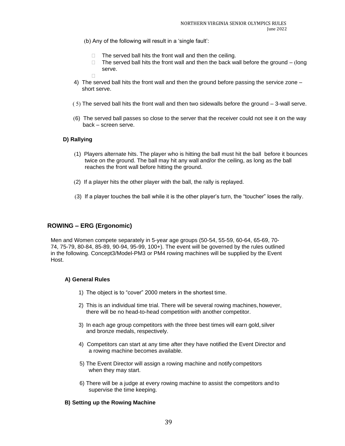- (b) Any of the following will result in a 'single fault':
	- $\Box$  The served ball hits the front wall and then the ceiling.
	- $\Box$  The served ball hits the front wall and then the back wall before the ground (long serve.
- 4) The served ball hits the front wall and then the ground before passing the service zone short serve.
- $(5)$  The served ball hits the front wall and then two sidewalls before the ground  $-$  3-wall serve.
- (6) The served ball passes so close to the server that the receiver could not see it on the way back – screen serve.

# **D) Rallying**

 $\Box$ 

- (1) Players alternate hits. The player who is hitting the ball must hit the ball before it bounces twice on the ground. The ball may hit any wall and/or the ceiling, as long as the ball reaches the front wall before hitting the ground.
- (2) If a player hits the other player with the ball, the rally is replayed.
- (3) If a player touches the ball while it is the other player's turn, the "toucher" loses the rally.

# **ROWING – ERG (Ergonomic)**

Men and Women compete separately in 5-year age groups (50-54, 55-59, 60-64, 65-69, 70- 74, 75-79, 80-84, 85-89, 90-94, 95-99, 100+). The event will be governed by the rules outlined in the following. Concept3/Model-PM3 or PM4 rowing machines will be supplied by the Event Host.

#### **A) General Rules**

- 1) The object is to "cover" 2000 meters in the shortest time.
- 2) This is an individual time trial. There will be several rowing machines,however, there will be no head-to-head competition with another competitor.
- 3) In each age group competitors with the three best times will earn gold, silver and bronze medals, respectively.
- 4) Competitors can start at any time after they have notified the Event Director and a rowing machine becomes available.
- 5) The Event Director will assign a rowing machine and notify competitors when they may start.
- 6) There will be a judge at every rowing machine to assist the competitors and to supervise the time keeping.

# **B) Setting up the Rowing Machine**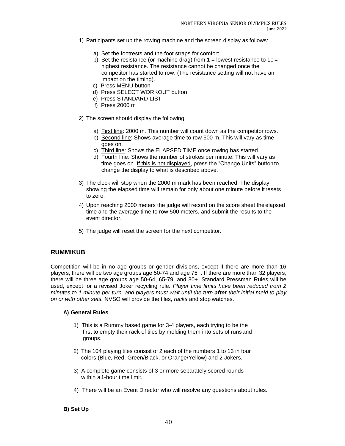- 1) Participants set up the rowing machine and the screen display as follows:
	- a) Set the footrests and the foot straps for comfort.
	- b) Set the resistance (or machine drag) from  $1 =$  lowest resistance to  $10 =$ highest resistance. The resistance cannot be changed once the competitor has started to row. (The resistance setting will not have an impact on the timing).
	- c) Press MENU button
	- d) Press SELECT WORKOUT button
	- e) Press STANDARD LIST
	- f) Press 2000 m
- 2) The screen should display the following:
	- a) First line: 2000 m. This number will count down as the competitor rows.
	- b) Second line: Shows average time to row 500 m. This will vary as time goes on.
	- c) Third line: Shows the ELAPSED TIME once rowing has started.
	- d) Fourth line: Shows the number of strokes per minute. This will vary as time goes on. If this is not displayed, press the "Change Units" buttonto change the display to what is described above.
- 3) The clock will stop when the 2000 m mark has been reached. The display showing the elapsed time will remain for only about one minute before itresets to zero.
- 4) Upon reaching 2000 meters the judge will record on the score sheet the elapsed time and the average time to row 500 meters, and submit the results to the event director.
- 5) The judge will reset the screen for the next competitor.

# **RUMMIKUB**

Competition will be in no age groups or gender divisions, except if there are more than 16 players, there will be two age groups age 50-74 and age 75+. If there are more than 32 players, there will be three age groups age 50-64, 65-79, and 80+. Standard Pressman Rules will be used, except for a revised Joker recycling rule. *Player time limits have been reduced from 2 minutes to 1 minute per turn, and players must wait until the turn after their initial meld to play on or with other sets.* NVSO will provide the tiles, *racks* and stop watches.

# **A) General Rules**

- 1) This is a Rummy based game for 3-4 players, each trying to be the first to empty their rack of tiles by melding them into sets of runsand groups.
- 2) The 104 playing tiles consist of 2 each of the numbers 1 to 13 in four colors (Blue, Red, Green/Black, or Orange/Yellow) and 2 Jokers.
- 3) A complete game consists of 3 or more separately scored rounds within a1-hour time limit.
- 4) There will be an Event Director who will resolve any questions about rules.

# **B) Set Up**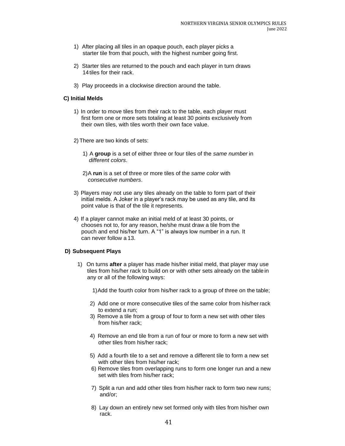- 1) After placing all tiles in an opaque pouch, each player picks a starter tile from that pouch, with the highest number going first.
- 2) Starter tiles are returned to the pouch and each player in turn draws 14tiles for their rack.
- 3) Play proceeds in a clockwise direction around the table.

#### **C) Initial Melds**

- 1) In order to move tiles from their rack to the table, each player must first form one or more sets totaling at least 30 points exclusively from their own tiles, with tiles worth their own face value.
- 2)There are two kinds of sets:
	- 1) A **group** is a set of either three or four tiles of the *same number* in *different colors*.
	- 2)A **run** is a set of three or more tiles of the *same color* with *consecutive numbers*.
- 3) Players may not use any tiles already on the table to form part of their initial melds. A Joker in a player's rack may be used as any tile, and its point value is that of the tile it represents.
- 4) If a player cannot make an initial meld of at least 30 points, or chooses not to, for any reason, he/she must draw a tile from the pouch and end his/her turn. A "1" is always low number in a run. It can never follow a 13.

#### **D) Subsequent Plays**

- 1) On turns **after** a player has made his/her initial meld, that player may use tiles from his/her rack to build on or with other sets already on the table in any or all of the following ways:
	- 1)Add the fourth color from his/her rack to a group of three on the table;
	- 2) Add one or more consecutive tiles of the same color from his/her rack to extend a run;
	- 3) Remove a tile from a group of four to form a new set with other tiles from his/her rack;
	- 4) Remove an end tile from a run of four or more to form a new set with other tiles from his/her rack;
	- 5) Add a fourth tile to a set and remove a different tile to form a new set with other tiles from his/her rack;
	- 6) Remove tiles from overlapping runs to form one longer run and a new set with tiles from his/her rack;
	- 7) Split a run and add other tiles from his/her rack to form two new runs; and/or;
	- 8) Lay down an entirely new set formed only with tiles from his/her own rack.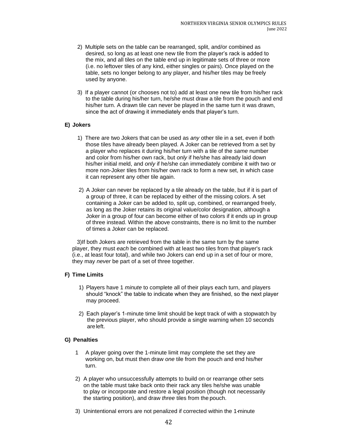- 2) Multiple sets on the table can be rearranged, split, and/or combined as desired, so long as at least one new tile from the player's rack is added to the mix, and all tiles on the table end up in legitimate sets of three or more (i.e. no leftover tiles of any kind, either singles or pairs). Once played on the table, sets no longer belong to any player, and his/her tiles may be freely used by anyone.
- 3) If a player cannot (or chooses not to) add at least one new tile from his/her rack to the table during his/her turn, he/she must draw a tile from the pouch and end his/her turn. A drawn tile can never be played in the same turn it was drawn, since the act of drawing it immediately ends that player's turn.

# **E) Jokers**

- 1) There are two Jokers that can be used as *any* other tile in a set, even if both those tiles have already been played. A Joker can be retrieved from a set by a player who replaces it during his/her turn with a tile of the *same* number and color from his/her own rack, but *only* if he/she has already laid down his/her initial meld, and *only* if he/she can immediately combine it with two or more non-Joker tiles from his/her own rack to form a new set, in which case it can represent any other tile again.
- 2) A Joker can never be replaced by a tile already on the table, but if it is part of a group of three, it can be replaced by either of the missing colors. A set containing a Joker can be added to, split up, combined, or rearranged freely, as long as the Joker retains its original value/color designation, although a Joker in a group of four can become either of two colors if it ends up in group of three instead. Within the above constraints, there is no limit to the number of times a Joker can be replaced.

 3)If both Jokers are retrieved from the table in the same turn by the same player, they must *each* be combined with at least two tiles from that player's rack (i.e., at least four total), and while two Jokers can end up in a set of four or more, they may *never* be part of a set of three together.

# **F) Time Limits**

- 1) Players have 1 *minute* to complete all of their plays each turn, and players should "knock" the table to indicate when they are finished, so the next player may proceed.
- 2) Each player's 1-minute time limit should be kept track of with a stopwatch by the previous player, who should provide a single warning when 10 seconds areleft.

# **G) Penalties**

- 1 A player going over the 1-minute limit may complete the set they are working on, but must then draw *one* tile from the pouch and end his/her turn.
- 2) A player who unsuccessfully attempts to build on or rearrange other sets on the table must take back onto their rack any tiles he/she was unable to play or incorporate and restore a legal position (though not necessarily the starting position), and draw *three* tiles from the pouch.
- 3) Unintentional errors are not penalized if corrected within the 1-minute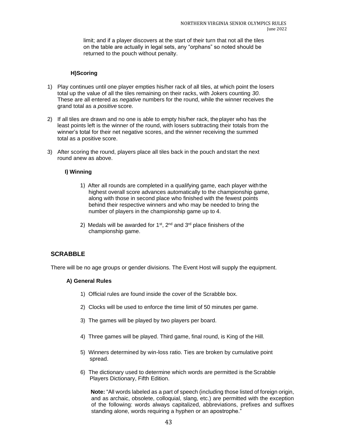limit; and if a player discovers at the start of their turn that not all the tiles on the table are actually in legal sets, any "orphans" so noted should be returned to the pouch without penalty.

# **H)Scoring**

- 1) Play continues until one player empties his/her rack of all tiles, at which point the losers total up the value of all the tiles remaining on their racks, with Jokers counting *30*. These are all entered as *negative* numbers for the round, while the winner receives the grand total as a *positive* score.
- 2) If all tiles are drawn and no one is able to empty his/her rack, the player who has the least points left is the winner of the round, with losers subtracting their totals from the winner's total for their net negative scores, and the winner receiving the summed total as a positive score.
- 3) After scoring the round, players place all tiles back in the pouch andstart the next round anew as above.

# **I) Winning**

- 1) After all rounds are completed in a qualifying game, each player withthe highest overall score advances automatically to the championship game, along with those in second place who finished with the fewest points behind their respective winners and who may be needed to bring the number of players in the championship game up to 4.
- 2) Medals will be awarded for  $1<sup>st</sup>$ ,  $2<sup>nd</sup>$  and  $3<sup>rd</sup>$  place finishers of the championship game.

# **SCRABBLE**

There will be no age groups or gender divisions. The Event Host will supply the equipment.

# **A) General Rules**

- 1) Official rules are found inside the cover of the Scrabble box.
- 2) Clocks will be used to enforce the time limit of 50 minutes per game.
- 3) The games will be played by two players per board.
- 4) Three games will be played. Third game, final round, is King of the Hill.
- 5) Winners determined by win-loss ratio. Ties are broken by cumulative point spread.
- 6) The dictionary used to determine which words are permitted is the Scrabble Players Dictionary, Fifth Edition.

**Note:** "All words labeled as a part of speech (including those listed of foreign origin, and as archaic, obsolete, colloquial, slang, etc.) are permitted with the exception of the following: words always capitalized, abbreviations, prefixes and suffixes standing alone, words requiring a hyphen or an apostrophe."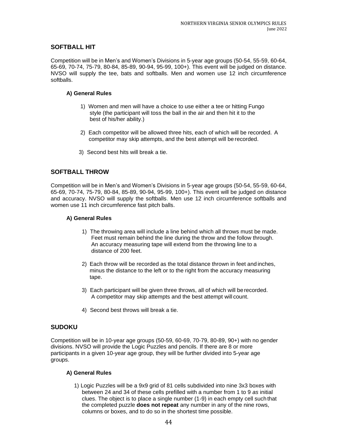# <span id="page-44-0"></span>**SOFTBALL HIT**

Competition will be in Men's and Women's Divisions in 5-year age groups (50-54, 55-59, 60-64, 65-69, 70-74, 75-79, 80-84, 85-89, 90-94, 95-99, 100+). This event will be judged on distance. NVSO will supply the tee, bats and softballs. Men and women use 12 inch circumference softballs.

# **A) General Rules**

- 1) Women and men will have a choice to use either a tee or hitting Fungo style (the participant will toss the ball in the air and then hit it to the best of his/her ability.)
- 2) Each competitor will be allowed three hits, each of which will be recorded. A competitor may skip attempts, and the best attempt will be recorded.
- 3) Second best hits will break a tie.

# <span id="page-44-1"></span>**SOFTBALL THROW**

Competition will be in Men's and Women's Divisions in 5-year age groups (50-54, 55-59, 60-64, 65-69, 70-74, 75-79, 80-84, 85-89, 90-94, 95-99, 100+). This event will be judged on distance and accuracy. NVSO will supply the softballs. Men use 12 inch circumference softballs and women use 11 inch circumference fast pitch balls.

# **A) General Rules**

- 1) The throwing area will include a line behind which all throws must be made. Feet must remain behind the line during the throw and the follow through. An accuracy measuring tape will extend from the throwing line to a distance of 200 feet.
- 2) Each throw will be recorded as the total distance thrown in feet and inches, minus the distance to the left or to the right from the accuracy measuring tape.
- 3) Each participant will be given three throws, all of which will berecorded. A competitor may skip attempts and the best attempt will count.
- 4) Second best throws will break a tie.

# <span id="page-44-2"></span>**SUDOKU**

Competition will be in 10-year age groups (50-59, 60-69, 70-79, 80-89, 90+) with no gender divisions. NVSO will provide the Logic Puzzles and pencils. If there are 8 or more participants in a given 10-year age group, they will be further divided into 5-year age groups.

# **A) General Rules**

1) Logic Puzzles will be a 9x9 grid of 81 cells subdivided into nine 3x3 boxes with between 24 and 34 of these cells prefilled with a number from 1 to 9 *as* initial clues. The object is to place a single number (1-9) in each empty cell suchthat the completed puzzle **does not repeat** any number in any of the nine rows, columns or boxes, and to do so in the shortest time possible.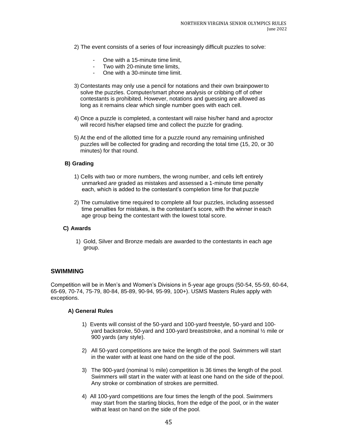- 2) The event consists of a series of four increasingly difficult puzzles to solve:
	- One with a 15-minute time limit,
	- Two with 20-minute time limits,
		- One with a 30-minute time limit.
- 3) Contestants may only use a pencil for notations and their own brainpowerto solve the puzzles. Computer/smart phone analysis or cribbing off of other contestants is prohibited. However, notations and guessing are allowed as long as it remains clear which single number goes with each cell.
- 4) Once a puzzle is completed, a contestant will raise his/her hand and aproctor will record his/her elapsed time and collect the puzzle for grading.
- 5) At the end of the allotted time for a puzzle round any remaining unfinished puzzles will be collected for grading and recording the total time (15, 20, or 30 minutes) for that round.

# **B) Grading**

- 1) Cells with two or more numbers, the wrong number, and cells left entirely unmarked *are* graded as mistakes and assessed a 1-minute time penalty each, which is added to the contestant's completion time for that puzzle
- 2) The cumulative time required to complete all four puzzles, including assessed time penalties for mistakes, is the contestant's score, with the winner in each age group being the contestant with the lowest total score.

#### **C) Awards**

1) Gold, Silver and Bronze medals are awarded to the contestants in each age group.

# <span id="page-45-0"></span>**SWIMMING**

Competition will be in Men's and Women's Divisions in 5-year age groups (50-54, 55-59, 60-64, 65-69, 70-74, 75-79, 80-84, 85-89, 90-94, 95-99, 100+). USMS Masters Rules apply with exceptions.

- 1) Events will consist of the 50-yard and 100-yard freestyle, 50-yard and 100 yard backstroke, 50-yard and 100-yard breaststroke, and a nominal ½ mile or 900 yards (any style).
- 2) All 50-yard competitions are twice the length of the pool. Swimmers will start in the water with at least one hand on the side of the pool.
- 3) The 900-yard (nominal  $\frac{1}{2}$  mile) competition is 36 times the length of the pool. Swimmers will start in the water with at least one hand on the side of thepool. Any stroke or combination of strokes are permitted.
- 4) All 100-yard competitions are four times the length of the pool. Swimmers may start from the starting blocks, from the edge of the pool, or in the water withat least on hand on the side of the pool.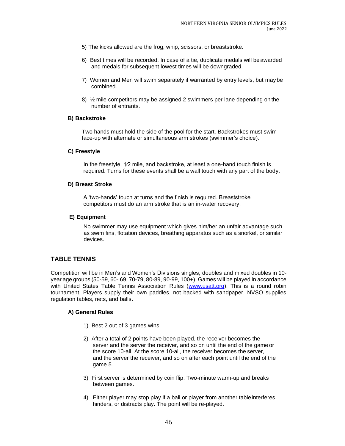- 5) The kicks allowed are the frog, whip, scissors, or breaststroke.
- 6) Best times will be recorded. In case of a tie, duplicate medals will be awarded and medals for subsequent lowest times will be downgraded.
- 7) Women and Men will swim separately if warranted by entry levels, but may be combined.
- 8) ½ mile competitors may be assigned 2 swimmers per lane depending on the number of entrants.

# **B) Backstroke**

Two hands must hold the side of the pool for the start. Backstrokes must swim face-up with alternate or simultaneous arm strokes (swimmer's choice).

#### **C) Freestyle**

In the freestyle, 1/2 mile, and backstroke, at least a one-hand touch finish is required. Turns for these events shall be a wall touch with any part of the body.

#### **D) Breast Stroke**

A 'two-hands' touch at turns and the finish is required. Breaststroke competitors must do an arm stroke that is an in-water recovery.

#### **E) Equipment**

No swimmer may use equipment which gives him/her an unfair advantage such as swim fins, flotation devices, breathing apparatus such as a snorkel, or similar devices.

# <span id="page-46-0"></span>**TABLE TENNIS**

Competition will be in Men's and Women's Divisions singles, doubles and mixed doubles in 10 year age groups (50-59, 60- 69, 70-79, 80-89, 90-99, 100+). Games will be played in accordance with United States Table Tennis Association Rules [\(www.usatt.org\)](http://www.usatt.org/). This is a round robin tournament. Players supply their own paddles, not backed with sandpaper. NVSO supplies regulation tables, nets, and balls**.**

- 1) Best 2 out of 3 games wins.
- 2) After a total of 2 points have been played, the receiver becomes the server and the server the receiver, and so on until the end of the game or the score 10-all. At the score 10-all, the receiver becomes the server, and the server the receiver, and so on after each point until the end of the game 5.
- 3) First server is determined by coin flip. Two-minute warm-up and breaks between games.
- 4) Either player may stop play if a ball or player from another tableinterferes, hinders, or distracts play. The point will be re-played.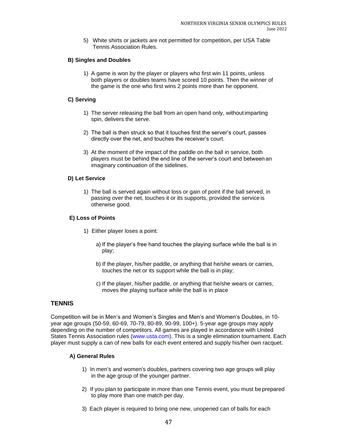5) White shirts or jackets are not permitted for competition, per USA Table Tennis Association Rules.

# **B) Singles and Doubles**

1) A game is won by the player or players who first win 11 points, unless both players or doubles teams have scored 10 points. Then the winner of the game is the one who first wins 2 points more than he opponent.

# **C) Serving**

- 1) The server releasing the ball from an open hand only, without imparting spin, delivers the serve.
- 2) The ball is then struck so that it touches first the server's court, passes directly over the net, and touches the receiver's court.
- 3) At the moment of the impact of the paddle on the ball in service, both players must be behind the end line of the server's court and between an imaginary continuation of the sidelines.

# **D) Let Service**

1) The ball is served again without loss or gain of point if the ball served, in passing over the net, touches it or its supports, provided the service is otherwise good.

# **E) Loss of Points**

- 1) Either player loses a point:
	- a) If the player's free hand touches the playing surface while the ball is in play;
	- b) If the player, his/her paddle, or anything that he/she wears or carries, touches the net or its support while the ball is in play;
	- c) If the player, his/her paddle, or anything that he/she wears or carries, moves the playing surface while the ball is in place

# <span id="page-47-0"></span>**TENNIS**

Competition will be in Men's and Women's Singles and Men's and Women's Doubles, in 10 year age groups (50-59, 60-69, 70-79, 80-89, 90-99, 100+). 5-year age groups may apply depending on the number of competitors. All games are played in accordance with United States Tennis Association rules (www.usta.com). This is a single elimination tournament. Each player must supply a can of new balls for each event entered and supply his/her own racquet.

- 1) In men's and women's doubles, partners covering two age groups will play in the age group of the younger partner.
- 2) If you plan to participate in more than one Tennis event, you must be prepared to play more than one match per day.
- 3) Each player is required to bring one new, unopened can of balls for each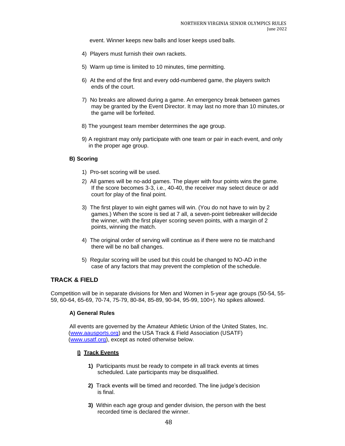event. Winner keeps new balls and loser keeps used balls.

- 4) Players must furnish their own rackets.
- 5) Warm up time is limited to 10 minutes, time permitting.
- 6) At the end of the first and every odd-numbered game, the players switch ends of the court.
- 7) No breaks are allowed during a game. An emergency break between games may be granted by the Event Director. It may last no more than 10 minutes,or the game will be forfeited.
- 8) The youngest team member determines the age group.
- 9) A registrant may only participate with one team or pair in each event, and only in the proper age group.

#### **B) Scoring**

- 1) Pro-set scoring will be used.
- 2) All games will be no-add games. The player with four points wins the game. If the score becomes 3-3, i.e., 40-40, the receiver may select deuce or add court for play of the final point.
- 3) The first player to win eight games will win. (You do not have to win by 2 games.) When the score is tied at 7 all, a seven-point tiebreaker willdecide the winner, with the first player scoring seven points, with a margin of 2 points, winning the match.
- 4) The original order of serving will continue as if there were no tie matchand there will be no ball changes.
- 5) Regular scoring will be used but this could be changed to NO-AD in the case of any factors that may prevent the completion of the schedule.

# <span id="page-48-0"></span>**TRACK & FIELD**

Competition will be in separate divisions for Men and Women in 5-year age groups (50-54, 55- 59, 60-64, 65-69, 70-74, 75-79, 80-84, 85-89, 90-94, 95-99, 100+). No spikes allowed.

#### **A) General Rules**

All events are governed by the Amateur Athletic Union of the United States, Inc. [\(www.aausports.org\)](http://www.aausports.org/) and the USA Track & Field Association (USATF) [\(www.usatf.org\)](http://www.usatf.org/), except as noted otherwise below.

#### **I) Track Events**

- **1)** Participants must be ready to compete in all track events at times scheduled. Late participants may be disqualified.
- **2)** Track events will be timed and recorded. The line judge's decision is final.
- **3)** Within each age group and gender division, the person with the best recorded time is declared the winner.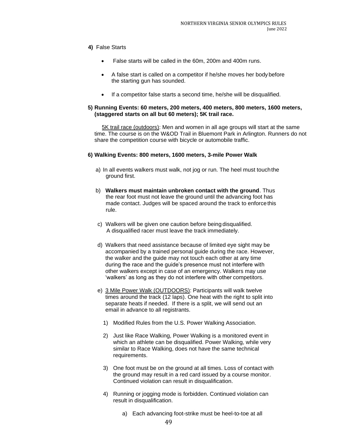# **4)** False Starts

- False starts will be called in the 60m, 200m and 400m runs.
- A false start is called on a competitor if he/she moves her body before the starting gun has sounded.
- If a competitor false starts a second time, he/she will be disqualified.

#### **5) Running Events: 60 meters, 200 meters, 400 meters, 800 meters, 1600 meters, (staggered starts on all but 60 meters); 5K trail race.**

**5K trail race (outdoors):** Men and women in all age groups will start at the same time. The course is on the W&OD Trail in Bluemont Park in Arlington. Runners do not share the competition course with bicycle or automobile traffic.

# **6) Walking Events: 800 meters, 1600 meters, 3-mile Power Walk**

- a) In all events walkers must walk, not jog or run. The heel must touchthe ground first.
- b) **Walkers must maintain unbroken contact with the ground**. Thus the rear foot must not leave the ground until the advancing foot has made contact. Judges will be spaced around the track to enforce this rule.
- c) Walkers will be given one caution before being disqualified. A disqualified racer must leave the track immediately.
- d) Walkers that need assistance because of limited eye sight may be accompanied by a trained personal guide during the race. However, the walker and the guide may not touch each other at any time during the race and the guide's presence must not interfere with other walkers except in case of an emergency. Walkers may use 'walkers' as long as they do not interfere with other competitors.
- e) 3 Mile Power Walk (OUTDOORS): Participants will walk twelve times around the track (12 laps). One heat with the right to split into separate heats if needed. If there is a split, we will send out an email in advance to all registrants.
	- 1) Modified Rules from the U.S. Power Walking Association.
	- 2) Just like Race Walking, Power Walking is a monitored event in which an athlete can be disqualified. Power Walking, while very similar to Race Walking, does not have the same technical requirements.
	- 3) One foot must be on the ground at all times. Loss of contact with the ground may result in a red card issued by a course monitor. Continued violation can result in disqualification.
	- 4) Running or jogging mode is forbidden. Continued violation can result in disqualification.
		- a) Each advancing foot-strike must be heel-to-toe at all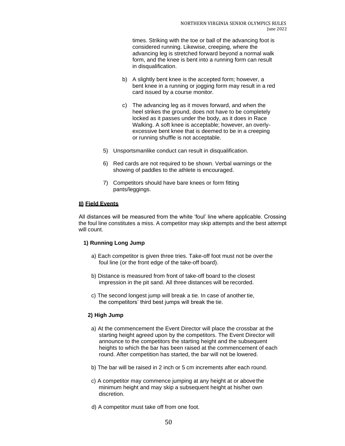times. Striking with the toe or ball of the advancing foot is considered running. Likewise, creeping, where the advancing leg is stretched forward beyond a normal walk form, and the knee is bent into a running form can result in disqualification.

- b) A slightly bent knee is the accepted form; however, a bent knee in a running or jogging form may result in a red card issued by a course monitor.
- c) The advancing leg as it moves forward, and when the heel strikes the ground, does not have to be completely locked as it passes under the body, as it does in Race Walking. A soft knee is acceptable; however, an overlyexcessive bent knee that is deemed to be in a creeping or running shuffle is not acceptable.
- 5) Unsportsmanlike conduct can result in disqualification.
- 6) Red cards are not required to be shown. Verbal warnings or the showing of paddles to the athlete is encouraged.
- 7) Competitors should have bare knees or form fitting pants/leggings.

# **II) Field Events**

All distances will be measured from the white 'foul' line where applicable. Crossing the foul line constitutes a miss. A competitor may skip attempts and the best attempt will count.

#### **1) Running Long Jump**

- a) Each competitor is given three tries. Take-off foot must not be overthe foul line (or the front edge of the take-off board).
- b) Distance is measured from front of take-off board to the closest impression in the pit sand. All three distances will be recorded.
- c) The second longest jump will break a tie. In case of another tie, the competitors' third best jumps will break the tie.

#### **2) High Jump**

- a) At the commencement the Event Director will place the crossbar at the starting height agreed upon by the competitors. The Event Director will announce to the competitors the starting height and the subsequent heights to which the bar has been raised at the commencement of each round. After competition has started, the bar will not be lowered.
- b) The bar will be raised in 2 inch or 5 cm increments after each round.
- c) A competitor may commence jumping at any height at or abovethe minimum height and may skip a subsequent height at his/her own discretion.
- d) A competitor must take off from one foot.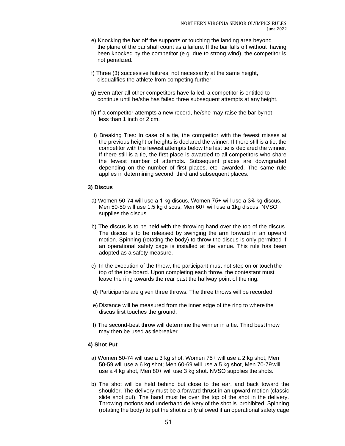- e) Knocking the bar off the supports or touching the landing area beyond the plane of the bar shall count as a failure. If the bar falls off without having been knocked by the competitor (e.g. due to strong wind), the competitor is not penalized.
- f) Three (3) successive failures, not necessarily at the same height, disqualifies the athlete from competing further.
- g) Even after all other competitors have failed, a competitor is entitled to continue until he/she has failed three subsequent attempts at any height.
- h) If a competitor attempts a new record, he/she may raise the bar bynot less than 1 inch or 2 cm.
- i) Breaking Ties: In case of a tie, the competitor with the fewest misses at the previous height or heights is declared the winner. If there still is a tie, the competitor with the fewest attempts below the last tie is declared the winner. If there still is a tie, the first place is awarded to all competitors who share the fewest number of attempts. Subsequent places are downgraded depending on the number of first places, etc. awarded. The same rule applies in determining second, third and subsequent places.

#### **3) Discus**

- a) Women 50-74 will use a 1 kg discus, Women 75+ will use a 3⁄4 kg discus, Men 50-59 will use 1.5 kg discus, Men 60+ will use a 1kg discus. NVSO supplies the discus.
- b) The discus is to be held with the throwing hand over the top of the discus. The discus is to be released by swinging the arm forward in an upward motion. Spinning (rotating the body) to throw the discus is only permitted if an operational safety cage is installed at the venue. This rule has been adopted as a safety measure.
- c) In the execution of the throw, the participant must not step on or touch the top of the toe board. Upon completing each throw, the contestant must leave the ring towards the rear past the halfway point of the ring.
- d) Participants are given three throws. The three throws will be recorded.
- e) Distance will be measured from the inner edge of the ring to where the discus first touches the ground.
- f) The second-best throw will determine the winner in a tie. Third best throw may then be used as tiebreaker.

# **4) Shot Put**

- a) Women 50-74 will use a 3 kg shot, Women 75+ will use a 2 kg shot, Men 50-59 will use a 6 kg shot; Men 60-69 will use a 5 kg shot, Men 70-79will use a 4 kg shot, Men 80+ will use 3 kg shot. NVSO supplies the shots.
- b) The shot will be held behind but close to the ear, and back toward the shoulder. The delivery must be a forward thrust in an upward motion (classic slide shot put). The hand must be over the top of the shot in the delivery. Throwing motions and underhand delivery of the shot is prohibited. Spinning (rotating the body) to put the shot is only allowed if an operational safety cage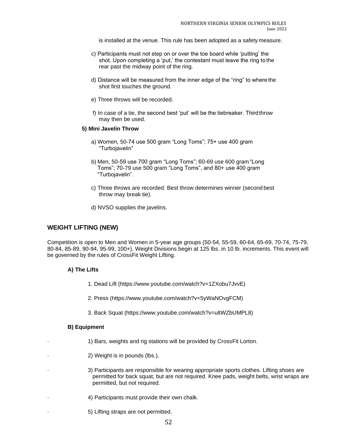is installed at the venue. This rule has been adopted as a safety measure.

- c) Participants must not step on or over the toe board while 'putting' the shot. Upon completing a 'put,' the contestant must leave the ring to the rear past the midway point of the ring.
- d) Distance will be measured from the inner edge of the "ring" to where the shot first touches the ground.
- e) Three throws will be recorded.
- f) In case of a tie, the second best 'put' will be the tiebreaker. Thirdthrow may then be used.

#### **5) Mini Javelin Throw**

- a) Women, 50-74 use 500 gram "Long Toms"; 75+ use 400 gram "Turbojavelin"
- b) Men, 50-59 use 700 gram "Long Toms"; 60-69 use 600 gram "Long Toms"; 70-79 use 500 gram "Long Toms", and 80+ use 400 gram "Turbojavelin".
- c) Three throws are recorded. Best throw determines winner (second best throw may break tie).
- d) NVSO supplies the javelins.

# **WEIGHT LIFTING (NEW)**

Competition is open to Men and Women in 5-year age groups (50-54, 55-59, 60-64, 65-69, 70-74, 75-79, 80-84, 85-89, 90-94, 95-99, 100+). Weight Divisions begin at 125 lbs. in 10 lb. increments. This event will be governed by the rules of CrossFit Weight Lifting.

# **A) The Lifts**

- 1. Dead Lift (https://www.youtube.com/watch?v=1ZXobu7JvvE)
- 2. Press (https://www.youtube.com/watch?v=5yWaNOvgFCM)
- 3. Back Squat (https://www.youtube.com/watch?v=ultWZbUMPL8)

# **B) Equipment**

- · 1) Bars, weights and rig stations will be provided by CrossFit Lorton.
- 2) Weight is in pounds (lbs.).
- · 3) Participants are responsible for wearing appropriate sports clothes. Lifting shoes are permitted for back squat, but are not required. Knee pads, weight belts, wrist wraps are permitted, but not required.
- 4) Participants must provide their own chalk.
- · 5) Lifting straps are not permitted.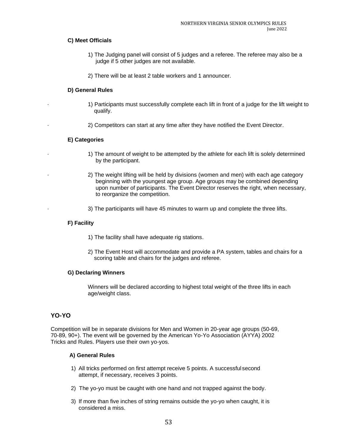# **C) Meet Officials**

- 1) The Judging panel will consist of 5 judges and a referee. The referee may also be a judge if 5 other judges are not available.
- 2) There will be at least 2 table workers and 1 announcer.

# **D) General Rules**

- · 1) Participants must successfully complete each lift in front of a judge for the lift weight to qualify.
	- · 2) Competitors can start at any time after they have notified the Event Director.

# **E) Categories**

- · 1) The amount of weight to be attempted by the athlete for each lift is solely determined by the participant.
- · 2) The weight lifting will be held by divisions (women and men) with each age category beginning with the youngest age group. Age groups may be combined depending upon number of participants. The Event Director reserves the right, when necessary, to reorganize the competition.
- · 3) The participants will have 45 minutes to warm up and complete the three lifts.

#### **F) Facility**

- 1) The facility shall have adequate rig stations.
- 2) The Event Host will accommodate and provide a PA system, tables and chairs for a scoring table and chairs for the judges and referee.

#### **G) Declaring Winners**

Winners will be declared according to highest total weight of the three lifts in each age/weight class.

# <span id="page-53-0"></span>**YO-YO**

Competition will be in separate divisions for Men and Women in 20-year age groups (50-69, 70-89, 90+). The event will be governed by the American Yo-Yo Association (AYYA) 2002 Tricks and Rules. Players use their own yo-yos.

- 1) All tricks performed on first attempt receive 5 points. A successful second attempt, if necessary, receives 3 points.
- 2) The yo-yo must be caught with one hand and not trapped against the body.
- 3) If more than five inches of string remains outside the yo-yo when caught, it is considered a miss.